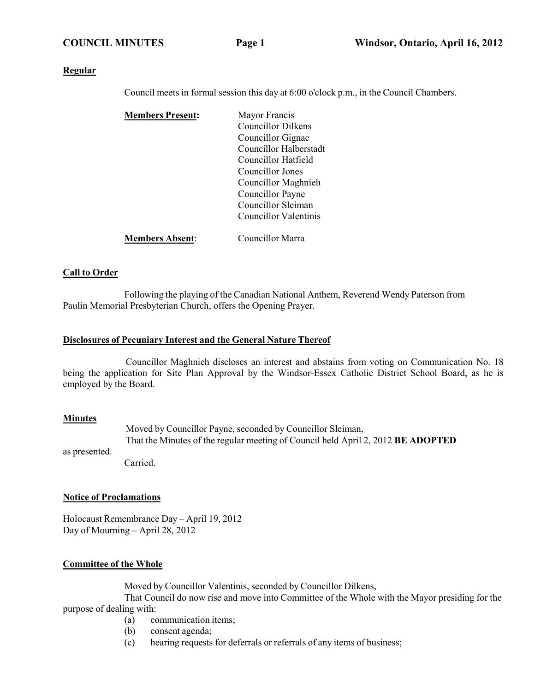### **Regular**

Council meets in formal session this day at 6:00 o'clock p.m., in the Council Chambers.

| <b>Members Present:</b> | Mayor Francis             |
|-------------------------|---------------------------|
|                         | <b>Councillor Dilkens</b> |
|                         | Councillor Gignac         |
|                         | Councillor Halberstadt    |
|                         | Councillor Hatfield       |
|                         | Councillor Jones          |
|                         | Councillor Maghnieh       |
|                         | Councillor Payne          |
|                         | Councillor Sleiman        |
|                         | Councillor Valentinis     |
| <b>Members Absent:</b>  | Councillor Marra          |

### **Call to Order**

Following the playing of the Canadian National Anthem, Reverend Wendy Paterson from Paulin Memorial Presbyterian Church, offers the Opening Prayer.

### **Disclosures of Pecuniary Interest and the General Nature Thereof**

Councillor Maghnieh discloses an interest and abstains from voting on Communication No. 18 being the application for Site Plan Approval by the Windsor-Essex Catholic District School Board, as he is employed by the Board.

### **Minutes**

as presented.

Moved by Councillor Payne, seconded by Councillor Sleiman, That the Minutes of the regular meeting of Council held April 2, 2012 **BE ADOPTED**

Carried.

### **Notice of Proclamations**

Holocaust Remembrance Day – April 19, 2012 Day of Mourning – April 28, 2012

### **Committee of the Whole**

Moved by Councillor Valentinis, seconded by Councillor Dilkens,

That Council do now rise and move into Committee of the Whole with the Mayor presiding for the purpose of dealing with:

- (a) communication items;
- (b) consent agenda;
- (c) hearing requests for deferrals or referrals of any items of business;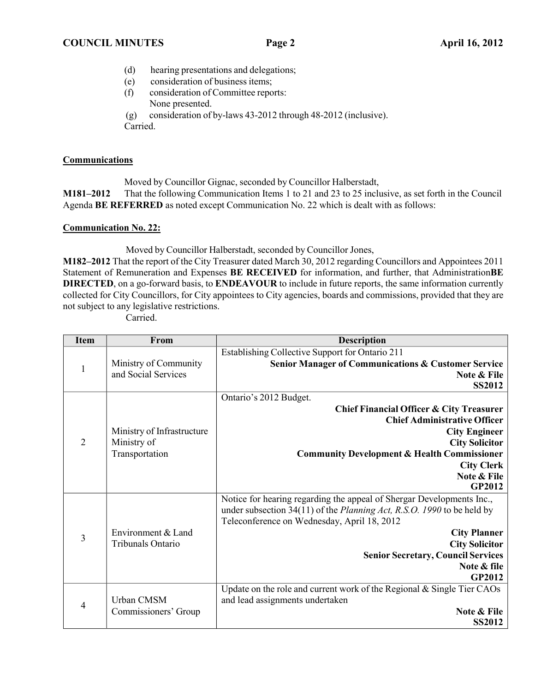- (d) hearing presentations and delegations;
- (e) consideration of business items;
- (f) consideration of Committee reports: None presented.
- (g) consideration of by-laws 43-2012 through 48-2012 (inclusive).
- Carried.

# **Communications**

Moved by Councillor Gignac, seconded by Councillor Halberstadt,

**M181–2012** That the following Communication Items 1 to 21 and 23 to 25 inclusive, as set forth in the Council Agenda **BE REFERRED** as noted except Communication No. 22 which is dealt with as follows:

# **Communication No. 22:**

Moved by Councillor Halberstadt, seconded by Councillor Jones,

**M182–2012** That the report of the City Treasurer dated March 30, 2012 regarding Councillors and Appointees 2011 Statement of Remuneration and Expenses **BE RECEIVED** for information, and further, that Administration**BE DIRECTED**, on a go-forward basis, to **ENDEAVOUR** to include in future reports, the same information currently collected for City Councillors, for City appointees to City agencies, boards and commissions, provided that they are not subject to any legislative restrictions.

Carried.

| <b>Item</b>                           | From                                                           | <b>Description</b>                                                                    |
|---------------------------------------|----------------------------------------------------------------|---------------------------------------------------------------------------------------|
|                                       |                                                                | Establishing Collective Support for Ontario 211                                       |
| Ministry of Community<br>$\mathbf{1}$ | <b>Senior Manager of Communications &amp; Customer Service</b> |                                                                                       |
|                                       | and Social Services                                            | Note & File                                                                           |
|                                       |                                                                | <b>SS2012</b>                                                                         |
|                                       |                                                                | Ontario's 2012 Budget.                                                                |
|                                       |                                                                | <b>Chief Financial Officer &amp; City Treasurer</b>                                   |
|                                       |                                                                | <b>Chief Administrative Officer</b>                                                   |
|                                       | Ministry of Infrastructure                                     | <b>City Engineer</b>                                                                  |
| $\overline{2}$                        | Ministry of                                                    | <b>City Solicitor</b>                                                                 |
|                                       | Transportation                                                 | <b>Community Development &amp; Health Commissioner</b>                                |
|                                       |                                                                | <b>City Clerk</b>                                                                     |
|                                       |                                                                | Note & File                                                                           |
|                                       |                                                                | <b>GP2012</b>                                                                         |
|                                       |                                                                | Notice for hearing regarding the appeal of Shergar Developments Inc.,                 |
|                                       |                                                                | under subsection 34(11) of the <i>Planning Act</i> , <i>R.S.O.</i> 1990 to be held by |
|                                       | Environment & Land                                             | Teleconference on Wednesday, April 18, 2012                                           |
| 3                                     | Tribunals Ontario                                              | <b>City Planner</b>                                                                   |
|                                       |                                                                | <b>City Solicitor</b>                                                                 |
|                                       |                                                                | <b>Senior Secretary, Council Services</b><br>Note & file                              |
|                                       | <b>GP2012</b>                                                  |                                                                                       |
|                                       |                                                                | Update on the role and current work of the Regional & Single Tier CAOs                |
| 4                                     | Urban CMSM                                                     | and lead assignments undertaken                                                       |
|                                       | Commissioners' Group                                           | Note & File                                                                           |
|                                       |                                                                | <b>SS2012</b>                                                                         |
|                                       |                                                                |                                                                                       |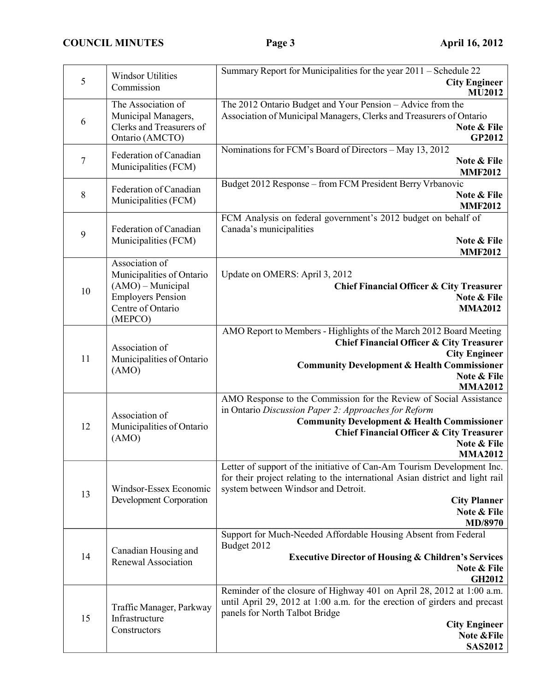| 5      | <b>Windsor Utilities</b><br>Commission                                                                                       | Summary Report for Municipalities for the year 2011 - Schedule 22<br><b>City Engineer</b><br><b>MU2012</b>                                                                                                                                                                   |
|--------|------------------------------------------------------------------------------------------------------------------------------|------------------------------------------------------------------------------------------------------------------------------------------------------------------------------------------------------------------------------------------------------------------------------|
| 6      | The Association of<br>Municipal Managers,<br>Clerks and Treasurers of<br>Ontario (AMCTO)                                     | The 2012 Ontario Budget and Your Pension - Advice from the<br>Association of Municipal Managers, Clerks and Treasurers of Ontario<br>Note & File<br><b>GP2012</b>                                                                                                            |
| $\tau$ | Federation of Canadian<br>Municipalities (FCM)                                                                               | Nominations for FCM's Board of Directors - May 13, 2012<br>Note & File<br><b>MMF2012</b>                                                                                                                                                                                     |
| $8\,$  | Federation of Canadian<br>Municipalities (FCM)                                                                               | Budget 2012 Response - from FCM President Berry Vrbanovic<br>Note & File<br><b>MMF2012</b>                                                                                                                                                                                   |
| 9      | Federation of Canadian<br>Municipalities (FCM)                                                                               | FCM Analysis on federal government's 2012 budget on behalf of<br>Canada's municipalities<br>Note & File<br><b>MMF2012</b>                                                                                                                                                    |
| 10     | Association of<br>Municipalities of Ontario<br>(AMO) - Municipal<br><b>Employers Pension</b><br>Centre of Ontario<br>(MEPCO) | Update on OMERS: April 3, 2012<br>Chief Financial Officer & City Treasurer<br>Note & File<br><b>MMA2012</b>                                                                                                                                                                  |
| 11     | Association of<br>Municipalities of Ontario<br>(AMO)                                                                         | AMO Report to Members - Highlights of the March 2012 Board Meeting<br><b>Chief Financial Officer &amp; City Treasurer</b><br><b>City Engineer</b><br><b>Community Development &amp; Health Commissioner</b><br>Note & File<br><b>MMA2012</b>                                 |
| 12     | Association of<br>Municipalities of Ontario<br>(AMO)                                                                         | AMO Response to the Commission for the Review of Social Assistance<br>in Ontario Discussion Paper 2: Approaches for Reform<br><b>Community Development &amp; Health Commissioner</b><br><b>Chief Financial Officer &amp; City Treasurer</b><br>Note & File<br><b>MMA2012</b> |
| 13     | Windsor-Essex Economic<br>Development Corporation                                                                            | Letter of support of the initiative of Can-Am Tourism Development Inc.<br>for their project relating to the international Asian district and light rail<br>system between Windsor and Detroit.<br><b>City Planner</b><br>Note & File<br><b>MD/8970</b>                       |
| 14     | Canadian Housing and<br>Renewal Association                                                                                  | Support for Much-Needed Affordable Housing Absent from Federal<br>Budget 2012<br><b>Executive Director of Housing &amp; Children's Services</b><br>Note & File<br>GH2012                                                                                                     |
| 15     | Traffic Manager, Parkway<br>Infrastructure<br>Constructors                                                                   | Reminder of the closure of Highway 401 on April 28, 2012 at 1:00 a.m.<br>until April 29, 2012 at 1:00 a.m. for the erection of girders and precast<br>panels for North Talbot Bridge<br><b>City Engineer</b><br><b>Note &amp;File</b><br><b>SAS2012</b>                      |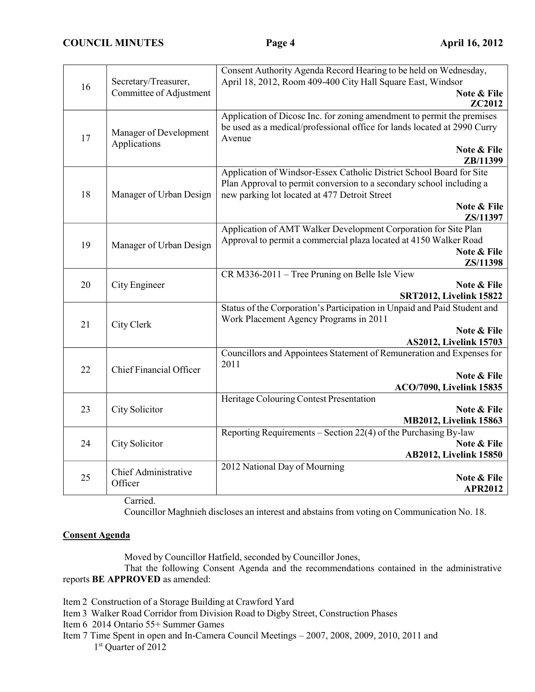| 16 | Secretary/Treasurer,<br>Committee of Adjustment | Consent Authority Agenda Record Hearing to be held on Wednesday,<br>April 18, 2012, Room 409-400 City Hall Square East, Windsor<br>Note & File<br><b>ZC2012</b>                                                          |
|----|-------------------------------------------------|--------------------------------------------------------------------------------------------------------------------------------------------------------------------------------------------------------------------------|
| 17 | Manager of Development<br>Applications          | Application of Dicosc Inc. for zoning amendment to permit the premises<br>be used as a medical/professional office for lands located at 2990 Curry<br>Avenue                                                             |
|    |                                                 | Note & File<br>ZB/11399                                                                                                                                                                                                  |
| 18 | Manager of Urban Design                         | Application of Windsor-Essex Catholic District School Board for Site<br>Plan Approval to permit conversion to a secondary school including a<br>new parking lot located at 477 Detroit Street<br>Note & File<br>ZS/11397 |
| 19 | Manager of Urban Design                         | Application of AMT Walker Development Corporation for Site Plan<br>Approval to permit a commercial plaza located at 4150 Walker Road<br>Note & File<br>ZS/11398                                                          |
| 20 | City Engineer                                   | CR M336-2011 – Tree Pruning on Belle Isle View<br>Note & File<br><b>SRT2012, Livelink 15822</b>                                                                                                                          |
| 21 | City Clerk                                      | Status of the Corporation's Participation in Unpaid and Paid Student and<br>Work Placement Agency Programs in 2011<br>Note & File<br><b>AS2012, Livelink 15703</b>                                                       |
| 22 | Chief Financial Officer                         | Councillors and Appointees Statement of Remuneration and Expenses for<br>2011<br>Note & File<br><b>ACO/7090, Livelink 15835</b>                                                                                          |
| 23 | City Solicitor                                  | Heritage Colouring Contest Presentation<br>Note & File<br><b>MB2012, Livelink 15863</b>                                                                                                                                  |
| 24 | City Solicitor                                  | Reporting Requirements – Section 22(4) of the Purchasing By-law<br>Note & File<br><b>AB2012, Livelink 15850</b>                                                                                                          |
| 25 | Chief Administrative<br>Officer                 | 2012 National Day of Mourning<br>Note & File<br>APR2012                                                                                                                                                                  |

Carried.

Councillor Maghnieh discloses an interest and abstains from voting on Communication No. 18.

# **Consent Agenda**

Moved by Councillor Hatfield, seconded by Councillor Jones,

That the following Consent Agenda and the recommendations contained in the administrative reports **BE APPROVED** as amended:

Item 2 Construction of a Storage Building at Crawford Yard

- Item 3 Walker Road Corridor from Division Road to Digby Street, Construction Phases
- Item 6 2014 Ontario 55+ Summer Games
- Item 7 Time Spent in open and In-Camera Council Meetings 2007, 2008, 2009, 2010, 2011 and 1<sup>st</sup> Quarter of 2012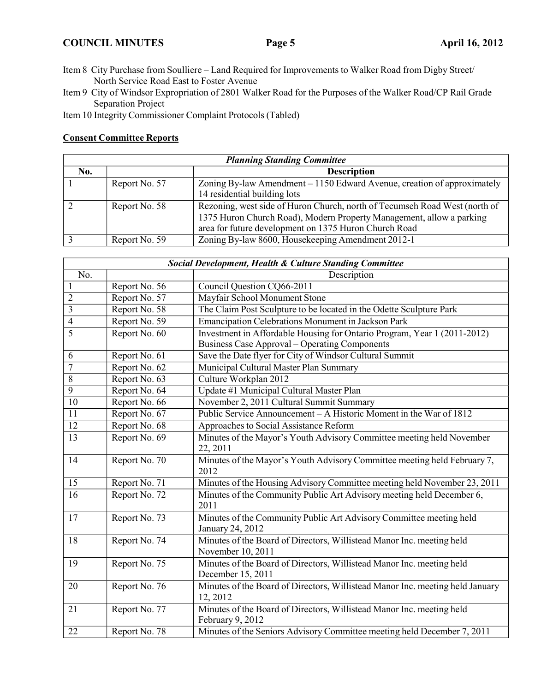# **COUNCIL MINUTES Page 5 April 16, 2012**

- Item 8 City Purchase from Soulliere Land Required for Improvements to Walker Road from Digby Street/ North Service Road East to Foster Avenue
- Item 9 City of Windsor Expropriation of 2801 Walker Road for the Purposes of the Walker Road/CP Rail Grade Separation Project

Item 10 Integrity Commissioner Complaint Protocols (Tabled)

### **Consent Committee Reports**

| <b>Planning Standing Committee</b> |               |                                                                                                                                                                                                             |
|------------------------------------|---------------|-------------------------------------------------------------------------------------------------------------------------------------------------------------------------------------------------------------|
| No.                                |               | <b>Description</b>                                                                                                                                                                                          |
|                                    | Report No. 57 | Zoning By-law Amendment $-1150$ Edward Avenue, creation of approximately<br>14 residential building lots                                                                                                    |
|                                    | Report No. 58 | Rezoning, west side of Huron Church, north of Tecumseh Road West (north of<br>1375 Huron Church Road), Modern Property Management, allow a parking<br>area for future development on 1375 Huron Church Road |
|                                    | Report No. 59 | Zoning By-law 8600, Housekeeping Amendment 2012-1                                                                                                                                                           |

| <b>Social Development, Health &amp; Culture Standing Committee</b> |               |                                                                                            |
|--------------------------------------------------------------------|---------------|--------------------------------------------------------------------------------------------|
| No.                                                                |               | Description                                                                                |
| $\mathbf{1}$                                                       | Report No. 56 | Council Question CQ66-2011                                                                 |
| $\overline{2}$                                                     | Report No. 57 | Mayfair School Monument Stone                                                              |
| $\overline{\mathbf{3}}$                                            | Report No. 58 | The Claim Post Sculpture to be located in the Odette Sculpture Park                        |
| $\overline{4}$                                                     | Report No. 59 | <b>Emancipation Celebrations Monument in Jackson Park</b>                                  |
| 5                                                                  | Report No. 60 | Investment in Affordable Housing for Ontario Program, Year 1 (2011-2012)                   |
|                                                                    |               | Business Case Approval – Operating Components                                              |
| 6                                                                  | Report No. 61 | Save the Date flyer for City of Windsor Cultural Summit                                    |
| $\overline{7}$                                                     | Report No. 62 | Municipal Cultural Master Plan Summary                                                     |
| $\overline{8}$                                                     | Report No. 63 | Culture Workplan 2012                                                                      |
| 9                                                                  | Report No. 64 | Update #1 Municipal Cultural Master Plan                                                   |
| 10                                                                 | Report No. 66 | November 2, 2011 Cultural Summit Summary                                                   |
| 11                                                                 | Report No. 67 | Public Service Announcement – A Historic Moment in the War of 1812                         |
| 12                                                                 | Report No. 68 | Approaches to Social Assistance Reform                                                     |
| 13                                                                 | Report No. 69 | Minutes of the Mayor's Youth Advisory Committee meeting held November                      |
|                                                                    |               | 22, 2011                                                                                   |
| 14                                                                 | Report No. 70 | Minutes of the Mayor's Youth Advisory Committee meeting held February 7,<br>2012           |
| $\overline{15}$                                                    | Report No. 71 | Minutes of the Housing Advisory Committee meeting held November 23, 2011                   |
| 16                                                                 | Report No. 72 | Minutes of the Community Public Art Advisory meeting held December 6,<br>2011              |
| 17                                                                 | Report No. 73 | Minutes of the Community Public Art Advisory Committee meeting held<br>January 24, 2012    |
| 18                                                                 | Report No. 74 | Minutes of the Board of Directors, Willistead Manor Inc. meeting held<br>November 10, 2011 |
| 19                                                                 | Report No. 75 | Minutes of the Board of Directors, Willistead Manor Inc. meeting held<br>December 15, 2011 |
| 20                                                                 | Report No. 76 | Minutes of the Board of Directors, Willistead Manor Inc. meeting held January<br>12, 2012  |
| 21                                                                 | Report No. 77 | Minutes of the Board of Directors, Willistead Manor Inc. meeting held<br>February 9, 2012  |
| 22                                                                 | Report No. 78 | Minutes of the Seniors Advisory Committee meeting held December 7, 2011                    |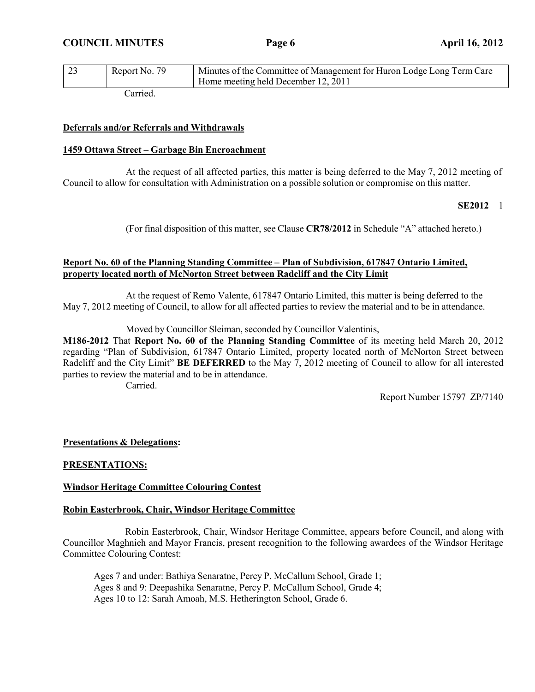**COUNCIL MINUTES Page 6 April 16, 2012**

| 23 | Report No. 79 | Minutes of the Committee of Management for Huron Lodge Long Term Care<br>Home meeting held December 12, 2011 |
|----|---------------|--------------------------------------------------------------------------------------------------------------|
|    |               |                                                                                                              |

Carried.

## **Deferrals and/or Referrals and Withdrawals**

### **1459 Ottawa Street – Garbage Bin Encroachment**

At the request of all affected parties, this matter is being deferred to the May 7, 2012 meeting of Council to allow for consultation with Administration on a possible solution or compromise on this matter.

### **SE2012** 1

(For final disposition of this matter, see Clause **CR78/2012** in Schedule "A" attached hereto.)

### **Report No. 60 of the Planning Standing Committee – Plan of Subdivision, 617847 Ontario Limited, property located north of McNorton Street between Radcliff and the City Limit**

At the request of Remo Valente, 617847 Ontario Limited, this matter is being deferred to the May 7, 2012 meeting of Council, to allow for all affected parties to review the material and to be in attendance.

Moved by Councillor Sleiman, seconded by Councillor Valentinis,

**M186-2012** That **Report No. 60 of the Planning Standing Committee** of its meeting held March 20, 2012 regarding "Plan of Subdivision, 617847 Ontario Limited, property located north of McNorton Street between Radcliff and the City Limit" **BE DEFERRED** to the May 7, 2012 meeting of Council to allow for all interested parties to review the material and to be in attendance.

Carried.

Report Number 15797 ZP/7140

### **Presentations & Delegations:**

### **PRESENTATIONS:**

### **Windsor Heritage Committee Colouring Contest**

### **Robin Easterbrook, Chair, Windsor Heritage Committee**

Robin Easterbrook, Chair, Windsor Heritage Committee, appears before Council, and along with Councillor Maghnieh and Mayor Francis, present recognition to the following awardees of the Windsor Heritage Committee Colouring Contest:

Ages 7 and under: Bathiya Senaratne, Percy P. McCallum School, Grade 1; Ages 8 and 9: Deepashika Senaratne, Percy P. McCallum School, Grade 4; Ages 10 to 12: Sarah Amoah, M.S. Hetherington School, Grade 6.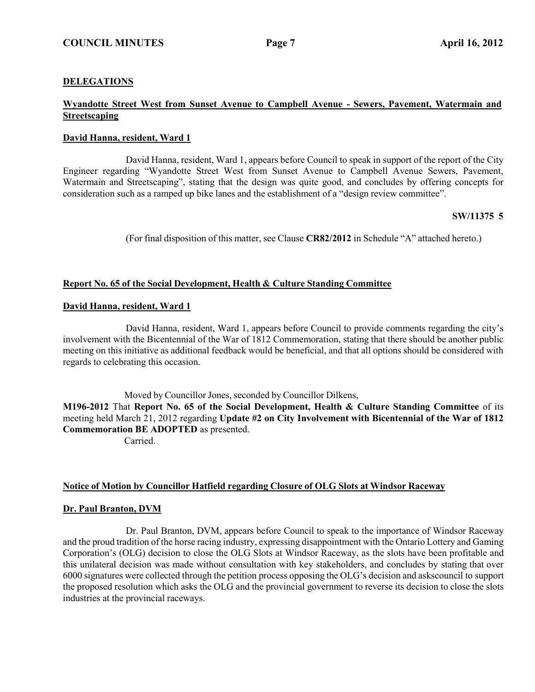# **DELEGATIONS**

# **Wyandotte Street West from Sunset Avenue to Campbell Avenue - Sewers, Pavement, Watermain and Streetscaping**

### **David Hanna, resident, Ward 1**

David Hanna, resident, Ward 1, appears before Council to speak in support of the report of the City Engineer regarding "Wyandotte Street West from Sunset Avenue to Campbell Avenue Sewers, Pavement, Watermain and Streetscaping", stating that the design was quite good, and concludes by offering concepts for consideration such as a ramped up bike lanes and the establishment of a "design review committee".

### **SW/11375 5**

(For final disposition of this matter, see Clause **CR82/2012** in Schedule "A" attached hereto.)

### **Report No. 65 of the Social Development, Health & Culture Standing Committee**

### **David Hanna, resident, Ward 1**

David Hanna, resident, Ward 1, appears before Council to provide comments regarding the city's involvement with the Bicentennial of the War of 1812 Commemoration, stating that there should be another public meeting on this initiative as additional feedback would be beneficial, and that all options should be considered with regards to celebrating this occasion.

Moved by Councillor Jones, seconded by Councillor Dilkens,

**M196-2012** That **Report No. 65 of the Social Development, Health & Culture Standing Committee** of its meeting held March 21, 2012 regarding **Update #2 on City Involvement with Bicentennial of the War of 1812 Commemoration BE ADOPTED** as presented.

Carried.

### **Notice of Motion by Councillor Hatfield regarding Closure of OLG Slots at Windsor Raceway**

### **Dr. Paul Branton, DVM**

Dr. Paul Branton, DVM, appears before Council to speak to the importance of Windsor Raceway and the proud tradition of the horse racing industry, expressing disappointment with the Ontario Lottery and Gaming Corporation's (OLG) decision to close the OLG Slots at Windsor Raceway, as the slots have been profitable and this unilateral decision was made without consultation with key stakeholders, and concludes by stating that over 6000 signatures were collected through the petition process opposing the OLG's decision and askscouncil to support the proposed resolution which asks the OLG and the provincial government to reverse its decision to close the slots industries at the provincial raceways.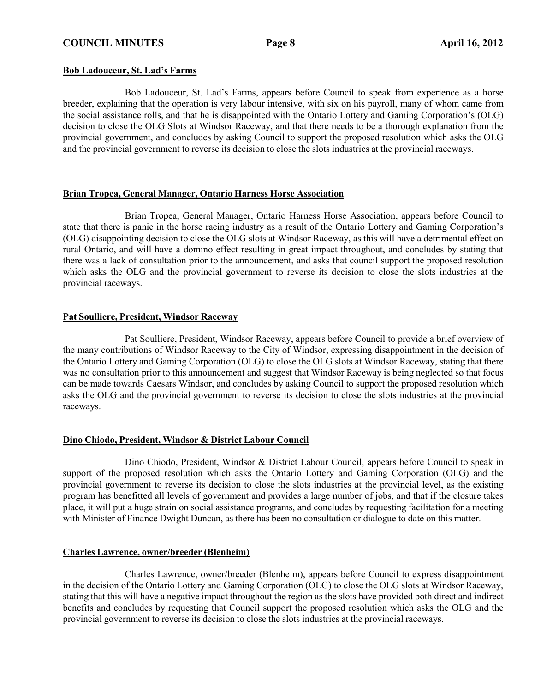### **COUNCIL MINUTES Page 8 April 16, 2012**

### **Bob Ladouceur, St. Lad's Farms**

Bob Ladouceur, St. Lad's Farms, appears before Council to speak from experience as a horse breeder, explaining that the operation is very labour intensive, with six on his payroll, many of whom came from the social assistance rolls, and that he is disappointed with the Ontario Lottery and Gaming Corporation's (OLG) decision to close the OLG Slots at Windsor Raceway, and that there needs to be a thorough explanation from the provincial government, and concludes by asking Council to support the proposed resolution which asks the OLG and the provincial government to reverse its decision to close the slots industries at the provincial raceways.

### **Brian Tropea, General Manager, Ontario Harness Horse Association**

Brian Tropea, General Manager, Ontario Harness Horse Association, appears before Council to state that there is panic in the horse racing industry as a result of the Ontario Lottery and Gaming Corporation's (OLG) disappointing decision to close the OLG slots at Windsor Raceway, as this will have a detrimental effect on rural Ontario, and will have a domino effect resulting in great impact throughout, and concludes by stating that there was a lack of consultation prior to the announcement, and asks that council support the proposed resolution which asks the OLG and the provincial government to reverse its decision to close the slots industries at the provincial raceways.

### **Pat Soulliere, President, Windsor Raceway**

Pat Soulliere, President, Windsor Raceway, appears before Council to provide a brief overview of the many contributions of Windsor Raceway to the City of Windsor, expressing disappointment in the decision of the Ontario Lottery and Gaming Corporation (OLG) to close the OLG slots at Windsor Raceway, stating that there was no consultation prior to this announcement and suggest that Windsor Raceway is being neglected so that focus can be made towards Caesars Windsor, and concludes by asking Council to support the proposed resolution which asks the OLG and the provincial government to reverse its decision to close the slots industries at the provincial raceways.

### **Dino Chiodo, President, Windsor & District Labour Council**

Dino Chiodo, President, Windsor & District Labour Council, appears before Council to speak in support of the proposed resolution which asks the Ontario Lottery and Gaming Corporation (OLG) and the provincial government to reverse its decision to close the slots industries at the provincial level, as the existing program has benefitted all levels of government and provides a large number of jobs, and that if the closure takes place, it will put a huge strain on social assistance programs, and concludes by requesting facilitation for a meeting with Minister of Finance Dwight Duncan, as there has been no consultation or dialogue to date on this matter.

### **Charles Lawrence, owner/breeder (Blenheim)**

Charles Lawrence, owner/breeder (Blenheim), appears before Council to express disappointment in the decision of the Ontario Lottery and Gaming Corporation (OLG) to close the OLG slots at Windsor Raceway, stating that this will have a negative impact throughout the region as the slots have provided both direct and indirect benefits and concludes by requesting that Council support the proposed resolution which asks the OLG and the provincial government to reverse its decision to close the slots industries at the provincial raceways.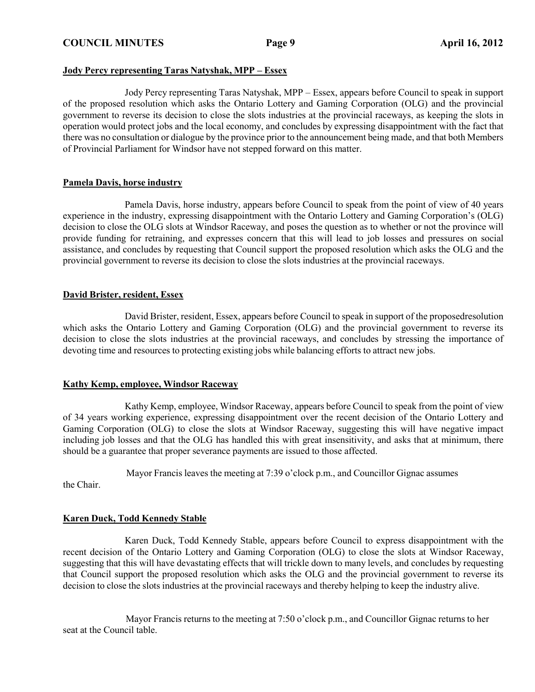### **COUNCIL MINUTES Page 9 April 16, 2012**

### **Jody Percy representing Taras Natyshak, MPP – Essex**

Jody Percy representing Taras Natyshak, MPP – Essex, appears before Council to speak in support of the proposed resolution which asks the Ontario Lottery and Gaming Corporation (OLG) and the provincial government to reverse its decision to close the slots industries at the provincial raceways, as keeping the slots in operation would protect jobs and the local economy, and concludes by expressing disappointment with the fact that there was no consultation or dialogue by the province prior to the announcement being made, and that both Members of Provincial Parliament for Windsor have not stepped forward on this matter.

### **Pamela Davis, horse industry**

Pamela Davis, horse industry, appears before Council to speak from the point of view of 40 years experience in the industry, expressing disappointment with the Ontario Lottery and Gaming Corporation's (OLG) decision to close the OLG slots at Windsor Raceway, and poses the question as to whether or not the province will provide funding for retraining, and expresses concern that this will lead to job losses and pressures on social assistance, and concludes by requesting that Council support the proposed resolution which asks the OLG and the provincial government to reverse its decision to close the slots industries at the provincial raceways.

### **David Brister, resident, Essex**

David Brister, resident, Essex, appears before Council to speak in support of the proposedresolution which asks the Ontario Lottery and Gaming Corporation (OLG) and the provincial government to reverse its decision to close the slots industries at the provincial raceways, and concludes by stressing the importance of devoting time and resources to protecting existing jobs while balancing efforts to attract new jobs.

### **Kathy Kemp, employee, Windsor Raceway**

Kathy Kemp, employee, Windsor Raceway, appears before Council to speak from the point of view of 34 years working experience, expressing disappointment over the recent decision of the Ontario Lottery and Gaming Corporation (OLG) to close the slots at Windsor Raceway, suggesting this will have negative impact including job losses and that the OLG has handled this with great insensitivity, and asks that at minimum, there should be a guarantee that proper severance payments are issued to those affected.

Mayor Francis leaves the meeting at 7:39 o'clock p.m., and Councillor Gignac assumes

the Chair.

### **Karen Duck, Todd Kennedy Stable**

Karen Duck, Todd Kennedy Stable, appears before Council to express disappointment with the recent decision of the Ontario Lottery and Gaming Corporation (OLG) to close the slots at Windsor Raceway, suggesting that this will have devastating effects that will trickle down to many levels, and concludes by requesting that Council support the proposed resolution which asks the OLG and the provincial government to reverse its decision to close the slots industries at the provincial raceways and thereby helping to keep the industry alive.

Mayor Francis returns to the meeting at 7:50 o'clock p.m., and Councillor Gignac returns to her seat at the Council table.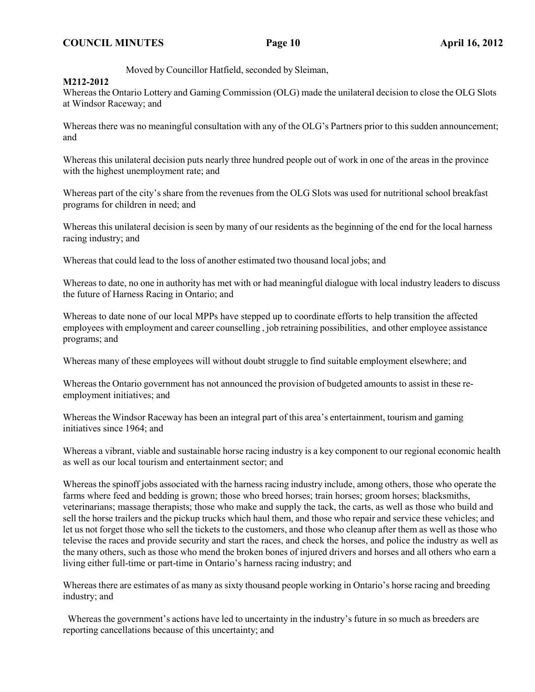# Moved by Councillor Hatfield, seconded by Sleiman,

### **M212-2012**

Whereas the Ontario Lottery and Gaming Commission (OLG) made the unilateral decision to close the OLG Slots at Windsor Raceway; and

Whereas there was no meaningful consultation with any of the OLG's Partners prior to this sudden announcement; and

Whereas this unilateral decision puts nearly three hundred people out of work in one of the areas in the province with the highest unemployment rate; and

Whereas part of the city's share from the revenues from the OLG Slots was used for nutritional school breakfast programs for children in need; and

Whereas this unilateral decision is seen by many of our residents as the beginning of the end for the local harness racing industry; and

Whereas that could lead to the loss of another estimated two thousand local jobs; and

Whereas to date, no one in authority has met with or had meaningful dialogue with local industry leaders to discuss the future of Harness Racing in Ontario; and

Whereas to date none of our local MPPs have stepped up to coordinate efforts to help transition the affected employees with employment and career counselling , job retraining possibilities, and other employee assistance programs; and

Whereas many of these employees will without doubt struggle to find suitable employment elsewhere; and

Whereas the Ontario government has not announced the provision of budgeted amounts to assist in these reemployment initiatives; and

Whereas the Windsor Raceway has been an integral part of this area's entertainment, tourism and gaming initiatives since 1964; and

Whereas a vibrant, viable and sustainable horse racing industry is a key component to our regional economic health as well as our local tourism and entertainment sector; and

Whereas the spinoff jobs associated with the harness racing industry include, among others, those who operate the farms where feed and bedding is grown; those who breed horses; train horses; groom horses; blacksmiths, veterinarians; massage therapists; those who make and supply the tack, the carts, as well as those who build and sell the horse trailers and the pickup trucks which haul them, and those who repair and service these vehicles; and let us not forget those who sell the tickets to the customers, and those who cleanup after them as well as those who televise the races and provide security and start the races, and check the horses, and police the industry as well as the many others, such as those who mend the broken bones of injured drivers and horses and all others who earn a living either full-time or part-time in Ontario's harness racing industry; and

Whereas there are estimates of as many as sixty thousand people working in Ontario's horse racing and breeding industry; and

Whereas the government's actions have led to uncertainty in the industry's future in so much as breeders are reporting cancellations because of this uncertainty; and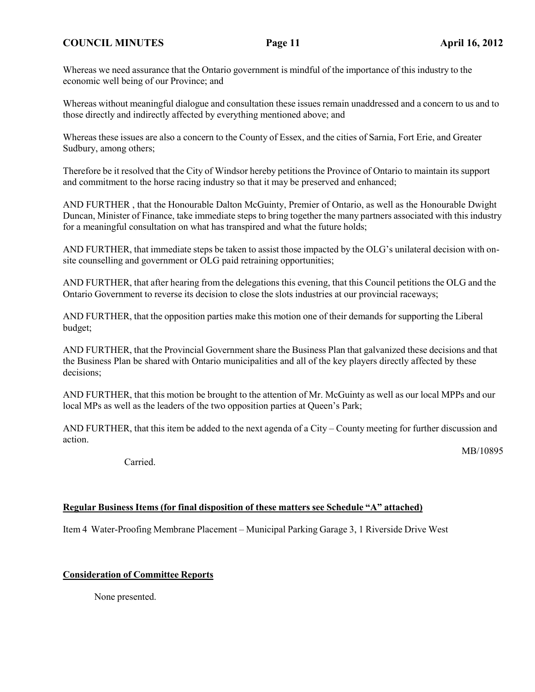# **COUNCIL MINUTES Page 11 April 16, 2012**

Whereas we need assurance that the Ontario government is mindful of the importance of this industry to the economic well being of our Province; and

Whereas without meaningful dialogue and consultation these issues remain unaddressed and a concern to us and to those directly and indirectly affected by everything mentioned above; and

Whereas these issues are also a concern to the County of Essex, and the cities of Sarnia, Fort Erie, and Greater Sudbury, among others;

Therefore be it resolved that the City of Windsor hereby petitions the Province of Ontario to maintain its support and commitment to the horse racing industry so that it may be preserved and enhanced;

AND FURTHER , that the Honourable Dalton McGuinty, Premier of Ontario, as well as the Honourable Dwight Duncan, Minister of Finance, take immediate steps to bring together the many partners associated with this industry for a meaningful consultation on what has transpired and what the future holds;

AND FURTHER, that immediate steps be taken to assist those impacted by the OLG's unilateral decision with onsite counselling and government or OLG paid retraining opportunities;

AND FURTHER, that after hearing from the delegations this evening, that this Council petitions the OLG and the Ontario Government to reverse its decision to close the slots industries at our provincial raceways;

AND FURTHER, that the opposition parties make this motion one of their demands for supporting the Liberal budget;

AND FURTHER, that the Provincial Government share the Business Plan that galvanized these decisions and that the Business Plan be shared with Ontario municipalities and all of the key players directly affected by these decisions;

AND FURTHER, that this motion be brought to the attention of Mr. McGuinty as well as our local MPPs and our local MPs as well as the leaders of the two opposition parties at Queen's Park;

AND FURTHER, that this item be added to the next agenda of a City – County meeting for further discussion and action.

MB/10895

Carried.

### **Regular Business Items (for final disposition of these matters see Schedule "A" attached)**

Item 4 Water-Proofing Membrane Placement – Municipal Parking Garage 3, 1 Riverside Drive West

### **Consideration of Committee Reports**

None presented.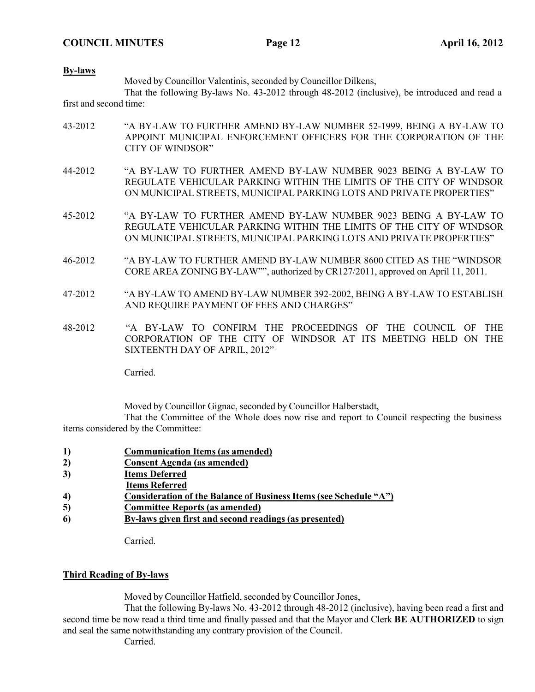### **By-laws**

Moved by Councillor Valentinis, seconded by Councillor Dilkens,

That the following By-laws No. 43-2012 through 48-2012 (inclusive), be introduced and read a first and second time:

- 43-2012 "A BY-LAW TO FURTHER AMEND BY-LAW NUMBER 52-1999, BEING A BY-LAW TO APPOINT MUNICIPAL ENFORCEMENT OFFICERS FOR THE CORPORATION OF THE CITY OF WINDSOR"
- 44-2012 "A BY-LAW TO FURTHER AMEND BY-LAW NUMBER 9023 BEING A BY-LAW TO REGULATE VEHICULAR PARKING WITHIN THE LIMITS OF THE CITY OF WINDSOR ON MUNICIPAL STREETS, MUNICIPAL PARKING LOTS AND PRIVATE PROPERTIES"
- 45-2012 "A BY-LAW TO FURTHER AMEND BY-LAW NUMBER 9023 BEING A BY-LAW TO REGULATE VEHICULAR PARKING WITHIN THE LIMITS OF THE CITY OF WINDSOR ON MUNICIPAL STREETS, MUNICIPAL PARKING LOTS AND PRIVATE PROPERTIES"
- 46-2012 "A BY-LAW TO FURTHER AMEND BY-LAW NUMBER 8600 CITED AS THE "WINDSOR CORE AREA ZONING BY-LAW"", authorized by CR127/2011, approved on April 11, 2011.
- 47-2012 "A BY-LAW TO AMEND BY-LAW NUMBER 392-2002, BEING A BY-LAW TO ESTABLISH AND REQUIRE PAYMENT OF FEES AND CHARGES"
- 48-2012 "A BY-LAW TO CONFIRM THE PROCEEDINGS OF THE COUNCIL OF THE CORPORATION OF THE CITY OF WINDSOR AT ITS MEETING HELD ON THE SIXTEENTH DAY OF APRIL, 2012"

Carried.

Moved by Councillor Gignac, seconded by Councillor Halberstadt,

That the Committee of the Whole does now rise and report to Council respecting the business items considered by the Committee:

- **1) Communication Items (as amended)**
- **2) Consent Agenda (as amended)**
- **3) Items Deferred**
- **Items Referred**
- **4) Consideration of the Balance of Business Items (see Schedule "A")**
- **5) Committee Reports (as amended)**
- **6) By-laws given first and second readings (as presented)**

Carried.

# **Third Reading of By-laws**

Moved by Councillor Hatfield, seconded by Councillor Jones,

That the following By-laws No. 43-2012 through 48-2012 (inclusive), having been read a first and second time be now read a third time and finally passed and that the Mayor and Clerk **BE AUTHORIZED** to sign and seal the same notwithstanding any contrary provision of the Council.

Carried.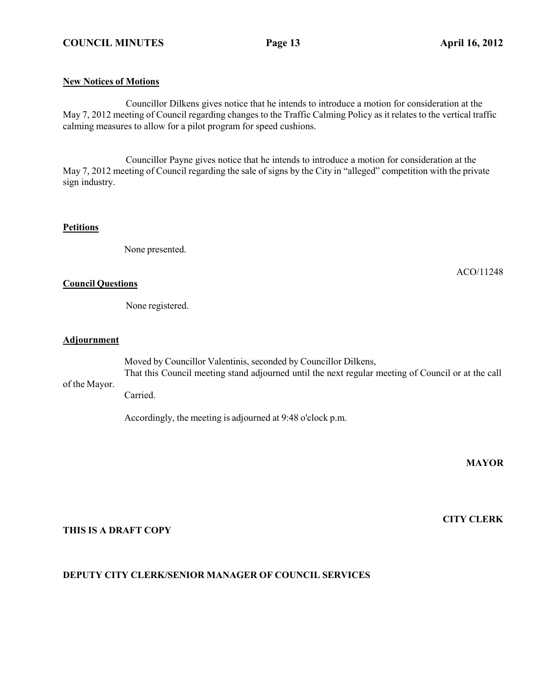### **New Notices of Motions**

Councillor Dilkens gives notice that he intends to introduce a motion for consideration at the May 7, 2012 meeting of Council regarding changes to the Traffic Calming Policy as it relates to the vertical traffic calming measures to allow for a pilot program for speed cushions.

Councillor Payne gives notice that he intends to introduce a motion for consideration at the May 7, 2012 meeting of Council regarding the sale of signs by the City in "alleged" competition with the private sign industry.

### **Petitions**

None presented.

### **Council Questions**

None registered.

### **Adjournment**

of the Mayor. Moved by Councillor Valentinis, seconded by Councillor Dilkens, That this Council meeting stand adjourned until the next regular meeting of Council or at the call

Carried.

Accordingly, the meeting is adjourned at 9:48 o'clock p.m.

**MAYOR**

**CITY CLERK**

### **THIS IS A DRAFT COPY**

# **DEPUTY CITY CLERK/SENIOR MANAGER OF COUNCIL SERVICES**

ACO/11248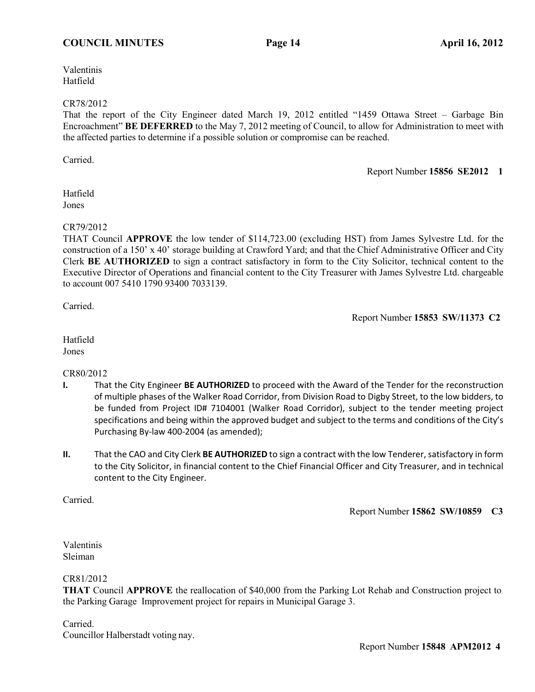Valentinis Hatfield

## CR78/2012

That the report of the City Engineer dated March 19, 2012 entitled "1459 Ottawa Street – Garbage Bin Encroachment" **BE DEFERRED** to the May 7, 2012 meeting of Council, to allow for Administration to meet with the affected parties to determine if a possible solution or compromise can be reached.

Carried.

Report Number **15856 SE2012 1**

Hatfield Jones

### CR79/2012

THAT Council **APPROVE** the low tender of \$114,723.00 (excluding HST) from James Sylvestre Ltd. for the construction of a 150' x 40' storage building at Crawford Yard; and that the Chief Administrative Officer and City Clerk **BE AUTHORIZED** to sign a contract satisfactory in form to the City Solicitor, technical content to the Executive Director of Operations and financial content to the City Treasurer with James Sylvestre Ltd. chargeable to account 007 5410 1790 93400 7033139.

Carried.

Report Number **15853 SW/11373 C2**

Hatfield Jones

### CR80/2012

- **I.** That the City Engineer **BE AUTHORIZED** to proceed with the Award of the Tender for the reconstruction of multiple phases of the Walker Road Corridor, from Division Road to Digby Street, to the low bidders, to be funded from Project ID# 7104001 (Walker Road Corridor), subject to the tender meeting project specifications and being within the approved budget and subject to the terms and conditions of the City's Purchasing By-law 400-2004 (as amended);
- **II.** That the CAO and City Clerk **BE AUTHORIZED** to sign a contract with the low Tenderer, satisfactory in form to the City Solicitor, in financial content to the Chief Financial Officer and City Treasurer, and in technical content to the City Engineer.

Carried.

Report Number **15862 SW/10859 C3**

Valentinis Sleiman

### CR81/2012

**THAT** Council **APPROVE** the reallocation of \$40,000 from the Parking Lot Rehab and Construction project to the Parking Garage Improvement project for repairs in Municipal Garage 3.

Carried.

Councillor Halberstadt voting nay.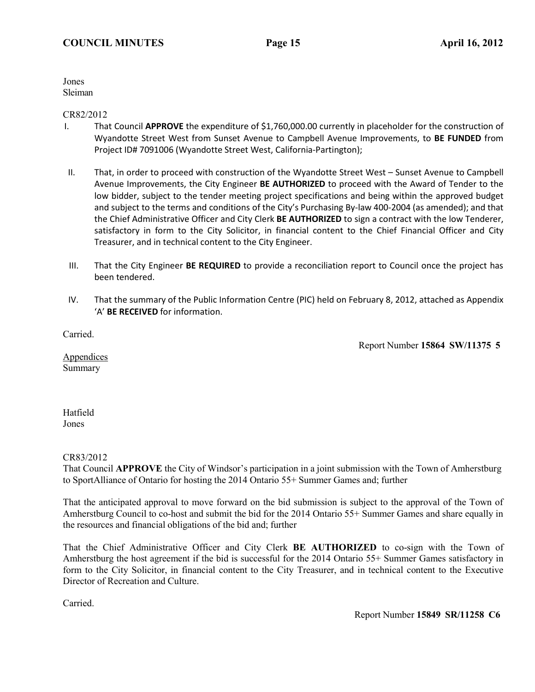Jones Sleiman

## CR82/2012

- I. That Council **APPROVE** the expenditure of \$1,760,000.00 currently in placeholder for the construction of Wyandotte Street West from Sunset Avenue to Campbell Avenue Improvements, to **BE FUNDED** from Project ID# 7091006 (Wyandotte Street West, California-Partington);
- II. That, in order to proceed with construction of the Wyandotte Street West Sunset Avenue to Campbell Avenue Improvements, the City Engineer **BE AUTHORIZED** to proceed with the Award of Tender to the low bidder, subject to the tender meeting project specifications and being within the approved budget and subject to the terms and conditions of the City's Purchasing By-law 400-2004 (as amended); and that the Chief Administrative Officer and City Clerk **BE AUTHORIZED** to sign a contract with the low Tenderer, satisfactory in form to the City Solicitor, in financial content to the Chief Financial Officer and City Treasurer, and in technical content to the City Engineer.
- III. That the City Engineer **BE REQUIRED** to provide a reconciliation report to Council once the project has been tendered.
- IV. That the summary of the Public Information Centre (PIC) held on February 8, 2012, attached as Appendix 'A' **BE RECEIVED** for information.

Carried.

Report Number **15864 SW/11375 5**

Appendices Summary

# Hatfield Jones

CR83/2012

That Council **APPROVE** the City of Windsor's participation in a joint submission with the Town of Amherstburg to SportAlliance of Ontario for hosting the 2014 Ontario 55+ Summer Games and; further

That the anticipated approval to move forward on the bid submission is subject to the approval of the Town of Amherstburg Council to co-host and submit the bid for the 2014 Ontario 55+ Summer Games and share equally in the resources and financial obligations of the bid and; further

That the Chief Administrative Officer and City Clerk **BE AUTHORIZED** to co-sign with the Town of Amherstburg the host agreement if the bid is successful for the 2014 Ontario 55+ Summer Games satisfactory in form to the City Solicitor, in financial content to the City Treasurer, and in technical content to the Executive Director of Recreation and Culture.

Carried.

Report Number **15849 SR/11258 C6**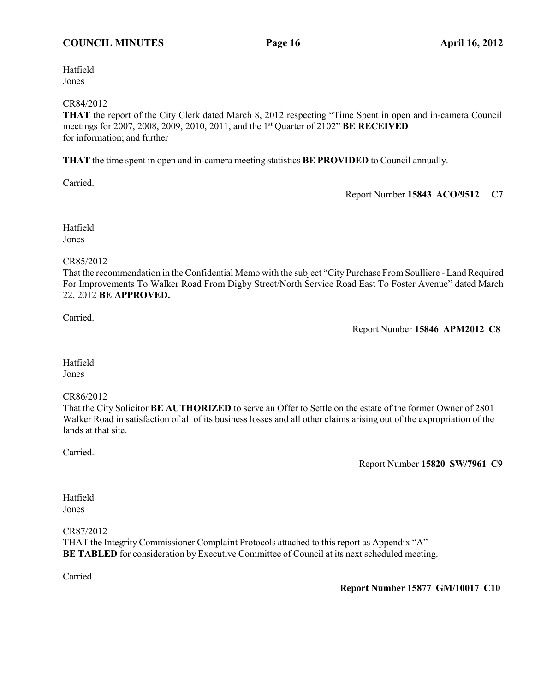Hatfield Jones

CR84/2012

**THAT** the report of the City Clerk dated March 8, 2012 respecting "Time Spent in open and in-camera Council meetings for 2007, 2008, 2009, 2010, 2011, and the 1 st Quarter of 2102" **BE RECEIVED** for information; and further

**THAT** the time spent in open and in-camera meeting statistics **BE PROVIDED** to Council annually.

Carried.

Report Number **15843 ACO/9512 C7**

Hatfield Jones

### CR85/2012

That the recommendation in the Confidential Memo with the subject "City Purchase From Soulliere - Land Required For Improvements To Walker Road From Digby Street/North Service Road East To Foster Avenue" dated March 22, 2012 **BE APPROVED.**

Carried.

Report Number **15846 APM2012 C8**

Hatfield Jones

### CR86/2012

That the City Solicitor **BE AUTHORIZED** to serve an Offer to Settle on the estate of the former Owner of 2801 Walker Road in satisfaction of all of its business losses and all other claims arising out of the expropriation of the lands at that site.

Carried.

Report Number **15820 SW/7961 C9**

Hatfield Jones

CR87/2012 THAT the Integrity Commissioner Complaint Protocols attached to this report as Appendix "A" **BE TABLED** for consideration by Executive Committee of Council at its next scheduled meeting.

Carried.

**Report Number 15877 GM/10017 C10**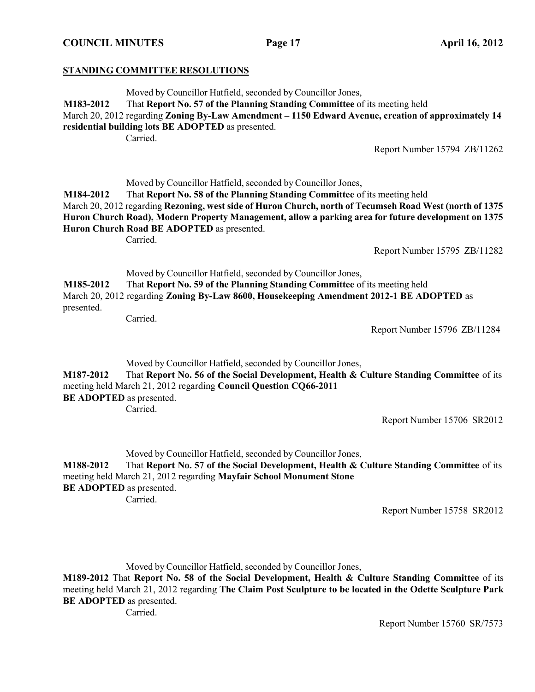**COUNCIL MINUTES Page 17 April 16, 2012**

### **STANDING COMMITTEE RESOLUTIONS**

Moved by Councillor Hatfield, seconded by Councillor Jones, **M183-2012** That **Report No. 57 of the Planning Standing Committee** of its meeting held March 20, 2012 regarding **Zoning By-Law Amendment – 1150 Edward Avenue, creation of approximately 14 residential building lots BE ADOPTED** as presented. Carried.

Report Number 15794 ZB/11262

Moved by Councillor Hatfield, seconded by Councillor Jones,

**M184-2012** That **Report No. 58 of the Planning Standing Committee** of its meeting held March 20, 2012 regarding **Rezoning, west side of Huron Church, north of Tecumseh Road West (north of 1375 Huron Church Road), Modern Property Management, allow a parking area for future development on 1375 Huron Church Road BE ADOPTED** as presented.

Carried.

Report Number 15795 ZB/11282

Moved by Councillor Hatfield, seconded by Councillor Jones, **M185-2012** That **Report No. 59 of the Planning Standing Committee** of its meeting held March 20, 2012 regarding **Zoning By-Law 8600, Housekeeping Amendment 2012-1 BE ADOPTED** as presented.

Carried.

Report Number 15796 ZB/11284

Moved by Councillor Hatfield, seconded by Councillor Jones,

**M187-2012** That **Report No. 56 of the Social Development, Health & Culture Standing Committee** of its meeting held March 21, 2012 regarding **Council Question CQ66-2011 BE ADOPTED** as presented. Carried.

Report Number 15706 SR2012

Moved by Councillor Hatfield, seconded by Councillor Jones, **M188-2012** That **Report No. 57 of the Social Development, Health & Culture Standing Committee** of its meeting held March 21, 2012 regarding **Mayfair School Monument Stone BE ADOPTED** as presented. Carried.

Report Number 15758 SR2012

Moved by Councillor Hatfield, seconded by Councillor Jones,

**M189-2012** That **Report No. 58 of the Social Development, Health & Culture Standing Committee** of its meeting held March 21, 2012 regarding **The Claim Post Sculpture to be located in the Odette Sculpture Park BE ADOPTED** as presented.

Carried.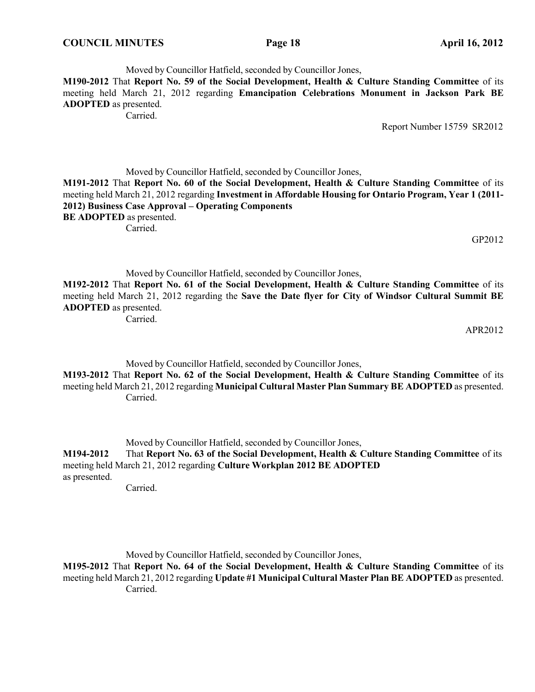### **COUNCIL MINUTES Page 18 April 16, 2012**

### Moved by Councillor Hatfield, seconded by Councillor Jones, **M190-2012** That **Report No. 59 of the Social Development, Health & Culture Standing Committee** of its meeting held March 21, 2012 regarding **Emancipation Celebrations Monument in Jackson Park BE**

**ADOPTED** as presented.

Carried.

Report Number 15759 SR2012

Moved by Councillor Hatfield, seconded by Councillor Jones, **M191-2012** That **Report No. 60 of the Social Development, Health & Culture Standing Committee** of its meeting held March 21, 2012 regarding **Investment in Affordable Housing for Ontario Program, Year 1 (2011- 2012) Business Case Approval – Operating Components BE ADOPTED** as presented. Carried.

GP2012

Moved by Councillor Hatfield, seconded by Councillor Jones, **M192-2012** That **Report No. 61 of the Social Development, Health & Culture Standing Committee** of its meeting held March 21, 2012 regarding the **Save the Date flyer for City of Windsor Cultural Summit BE ADOPTED** as presented.

Carried.

APR2012

Moved by Councillor Hatfield, seconded by Councillor Jones,

**M193-2012** That **Report No. 62 of the Social Development, Health & Culture Standing Committee** of its meeting held March 21, 2012 regarding **Municipal Cultural Master Plan Summary BE ADOPTED** as presented. Carried.

Moved by Councillor Hatfield, seconded by Councillor Jones,

**M194-2012** That **Report No. 63 of the Social Development, Health & Culture Standing Committee** of its meeting held March 21, 2012 regarding **Culture Workplan 2012 BE ADOPTED** as presented.

Carried.

Moved by Councillor Hatfield, seconded by Councillor Jones,

**M195-2012** That **Report No. 64 of the Social Development, Health & Culture Standing Committee** of its meeting held March 21, 2012 regarding **Update #1 Municipal Cultural Master Plan BE ADOPTED** as presented. Carried.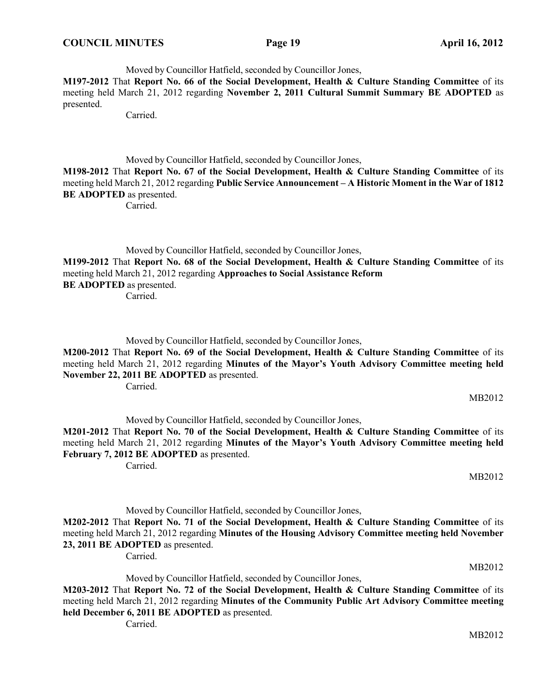### **COUNCIL MINUTES Page 19 April 16, 2012**

Moved by Councillor Hatfield, seconded by Councillor Jones,

**M197-2012** That **Report No. 66 of the Social Development, Health & Culture Standing Committee** of its meeting held March 21, 2012 regarding **November 2, 2011 Cultural Summit Summary BE ADOPTED** as presented.

Carried.

Moved by Councillor Hatfield, seconded by Councillor Jones,

**M198-2012** That **Report No. 67 of the Social Development, Health & Culture Standing Committee** of its meeting held March 21, 2012 regarding **Public Service Announcement – A Historic Moment in the War of 1812 BE ADOPTED** as presented.

Carried.

Moved by Councillor Hatfield, seconded by Councillor Jones, **M199-2012** That **Report No. 68 of the Social Development, Health & Culture Standing Committee** of its meeting held March 21, 2012 regarding **Approaches to Social Assistance Reform BE ADOPTED** as presented.

Carried.

Moved by Councillor Hatfield, seconded by Councillor Jones,

**M200-2012** That **Report No. 69 of the Social Development, Health & Culture Standing Committee** of its meeting held March 21, 2012 regarding **Minutes of the Mayor's Youth Advisory Committee meeting held November 22, 2011 BE ADOPTED** as presented.

Carried.

MB2012

Moved by Councillor Hatfield, seconded by Councillor Jones, **M201-2012** That **Report No. 70 of the Social Development, Health & Culture Standing Committee** of its meeting held March 21, 2012 regarding **Minutes of the Mayor's Youth Advisory Committee meeting held February 7, 2012 BE ADOPTED** as presented. Carried.

MB2012

Moved by Councillor Hatfield, seconded by Councillor Jones, **M202-2012** That **Report No. 71 of the Social Development, Health & Culture Standing Committee** of its meeting held March 21, 2012 regarding **Minutes of the Housing Advisory Committee meeting held November 23, 2011 BE ADOPTED** as presented. Carried.

MB2012

Moved by Councillor Hatfield, seconded by Councillor Jones,

**M203-2012** That **Report No. 72 of the Social Development, Health & Culture Standing Committee** of its meeting held March 21, 2012 regarding **Minutes of the Community Public Art Advisory Committee meeting held December 6, 2011 BE ADOPTED** as presented.

Carried.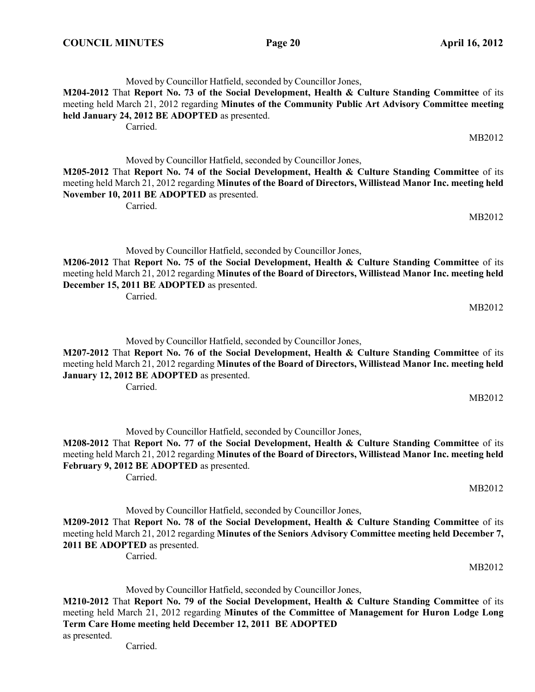Carried. MB2012 Moved by Councillor Hatfield, seconded by Councillor Jones,

**M205-2012** That **Report No. 74 of the Social Development, Health & Culture Standing Committee** of its meeting held March 21, 2012 regarding **Minutes of the Board of Directors, Willistead Manor Inc. meeting held November 10, 2011 BE ADOPTED** as presented.

Carried.

**held January 24, 2012 BE ADOPTED** as presented.

Moved by Councillor Hatfield, seconded by Councillor Jones,

**M206-2012** That **Report No. 75 of the Social Development, Health & Culture Standing Committee** of its meeting held March 21, 2012 regarding **Minutes of the Board of Directors, Willistead Manor Inc. meeting held December 15, 2011 BE ADOPTED** as presented.

Carried.

Moved by Councillor Hatfield, seconded by Councillor Jones,

**M207-2012** That **Report No. 76 of the Social Development, Health & Culture Standing Committee** of its meeting held March 21, 2012 regarding **Minutes of the Board of Directors, Willistead Manor Inc. meeting held January 12, 2012 BE ADOPTED** as presented.

Carried.

Moved by Councillor Hatfield, seconded by Councillor Jones,

**M208-2012** That **Report No. 77 of the Social Development, Health & Culture Standing Committee** of its meeting held March 21, 2012 regarding **Minutes of the Board of Directors, Willistead Manor Inc. meeting held February 9, 2012 BE ADOPTED** as presented.

Carried.

Moved by Councillor Hatfield, seconded by Councillor Jones, **M209-2012** That **Report No. 78 of the Social Development, Health & Culture Standing Committee** of its meeting held March 21, 2012 regarding **Minutes of the Seniors Advisory Committee meeting held December 7, 2011 BE ADOPTED** as presented. Carried.

MB2012

Moved by Councillor Hatfield, seconded by Councillor Jones,

**M210-2012** That **Report No. 79 of the Social Development, Health & Culture Standing Committee** of its meeting held March 21, 2012 regarding **Minutes of the Committee of Management for Huron Lodge Long Term Care Home meeting held December 12, 2011 BE ADOPTED** as presented.

Carried.

# **COUNCIL MINUTES Page 20 April 16, 2012**

MB2012

MB2012

MB2012

MB2012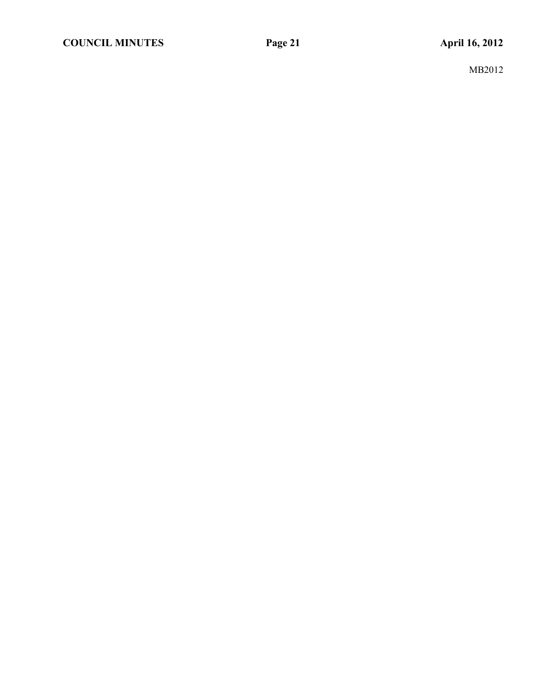MB2012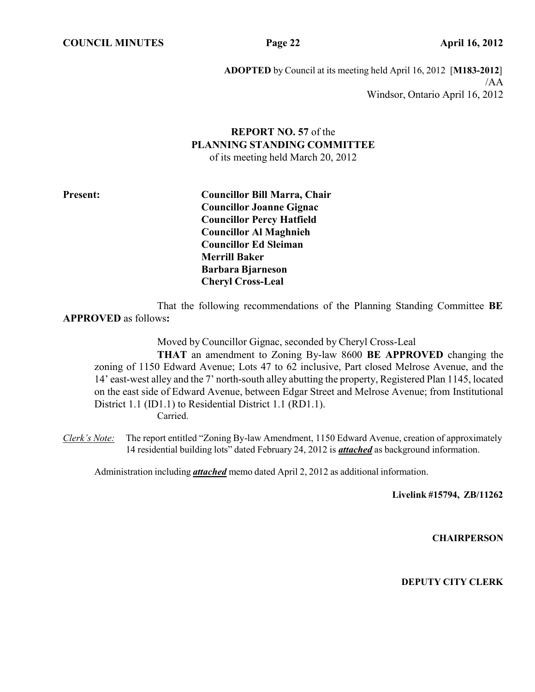**COUNCIL MINUTES Page 22 April 16, 2012**

**ADOPTED** by Council at its meeting held April 16, 2012 [**M183-2012**] /AA Windsor, Ontario April 16, 2012

# **REPORT NO. 57** of the **PLANNING STANDING COMMITTEE**

of its meeting held March 20, 2012

**Present: Councillor Bill Marra, Chair Councillor Joanne Gignac Councillor Percy Hatfield Councillor Al Maghnieh Councillor Ed Sleiman Merrill Baker Barbara Bjarneson Cheryl Cross-Leal**

That the following recommendations of the Planning Standing Committee **BE APPROVED** as follows**:**

Moved by Councillor Gignac, seconded by Cheryl Cross-Leal

**THAT** an amendment to Zoning By-law 8600 **BE APPROVED** changing the zoning of 1150 Edward Avenue; Lots 47 to 62 inclusive, Part closed Melrose Avenue, and the 14' east-west alley and the 7' north-south alley abutting the property, Registered Plan 1145, located on the east side of Edward Avenue, between Edgar Street and Melrose Avenue; from Institutional District 1.1 (ID1.1) to Residential District 1.1 (RD1.1).

Carried.

*Clerk's Note:* The report entitled "Zoning By-law Amendment, 1150 Edward Avenue, creation of approximately 14 residential building lots" dated February 24, 2012 is *attached* as background information.

Administration including *attached* memo dated April 2, 2012 as additional information.

**Livelink #15794, ZB/11262**

**CHAIRPERSON**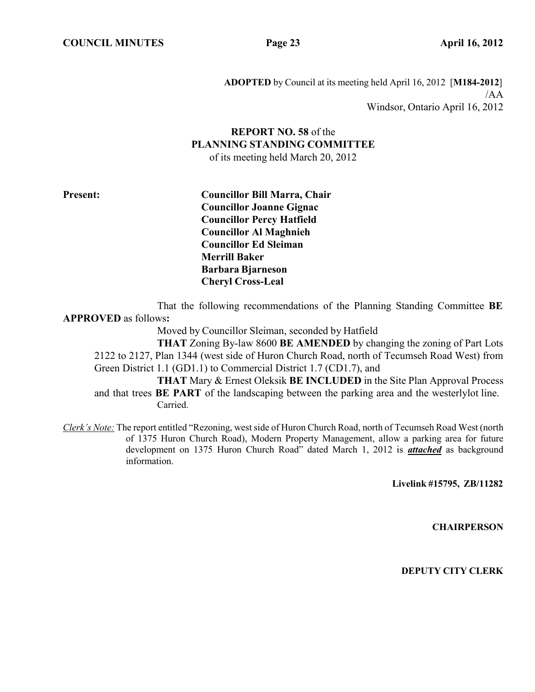**ADOPTED** by Council at its meeting held April 16, 2012 [**M184-2012**] /AA Windsor, Ontario April 16, 2012

# **REPORT NO. 58** of the **PLANNING STANDING COMMITTEE**

of its meeting held March 20, 2012

**Present: Councillor Bill Marra, Chair Councillor Joanne Gignac Councillor Percy Hatfield Councillor Al Maghnieh Councillor Ed Sleiman Merrill Baker Barbara Bjarneson Cheryl Cross-Leal**

That the following recommendations of the Planning Standing Committee **BE APPROVED** as follows**:**

Moved by Councillor Sleiman, seconded by Hatfield

**THAT** Zoning By-law 8600 **BE AMENDED** by changing the zoning of Part Lots 2122 to 2127, Plan 1344 (west side of Huron Church Road, north of Tecumseh Road West) from Green District 1.1 (GD1.1) to Commercial District 1.7 (CD1.7), and

**THAT** Mary & Ernest Oleksik **BE INCLUDED** in the Site Plan Approval Process and that trees **BE PART** of the landscaping between the parking area and the westerlylot line. Carried.

*Clerk's Note:* The report entitled "Rezoning, west side of Huron Church Road, north of Tecumseh Road West (north of 1375 Huron Church Road), Modern Property Management, allow a parking area for future development on 1375 Huron Church Road" dated March 1, 2012 is *attached* as background information.

**Livelink #15795, ZB/11282**

**CHAIRPERSON**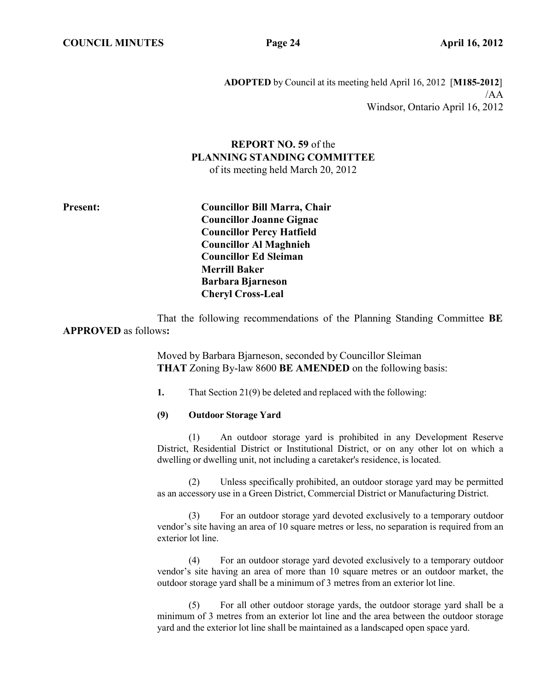**ADOPTED** by Council at its meeting held April 16, 2012 [**M185-2012**] /AA Windsor, Ontario April 16, 2012

# **REPORT NO. 59** of the **PLANNING STANDING COMMITTEE** of its meeting held March 20, 2012

**Present: Councillor Bill Marra, Chair Councillor Joanne Gignac Councillor Percy Hatfield Councillor Al Maghnieh Councillor Ed Sleiman Merrill Baker Barbara Bjarneson Cheryl Cross-Leal**

That the following recommendations of the Planning Standing Committee **BE APPROVED** as follows**:**

> Moved by Barbara Bjarneson, seconded by Councillor Sleiman **THAT** Zoning By-law 8600 **BE AMENDED** on the following basis:

**1.** That Section 21(9) be deleted and replaced with the following:

### **(9) Outdoor Storage Yard**

(1) An outdoor storage yard is prohibited in any Development Reserve District, Residential District or Institutional District, or on any other lot on which a dwelling or dwelling unit, not including a caretaker's residence, is located.

(2) Unless specifically prohibited, an outdoor storage yard may be permitted as an accessory use in a Green District, Commercial District or Manufacturing District.

(3) For an outdoor storage yard devoted exclusively to a temporary outdoor vendor's site having an area of 10 square metres or less, no separation is required from an exterior lot line.

(4) For an outdoor storage yard devoted exclusively to a temporary outdoor vendor's site having an area of more than 10 square metres or an outdoor market, the outdoor storage yard shall be a minimum of 3 metres from an exterior lot line.

(5) For all other outdoor storage yards, the outdoor storage yard shall be a minimum of 3 metres from an exterior lot line and the area between the outdoor storage yard and the exterior lot line shall be maintained as a landscaped open space yard.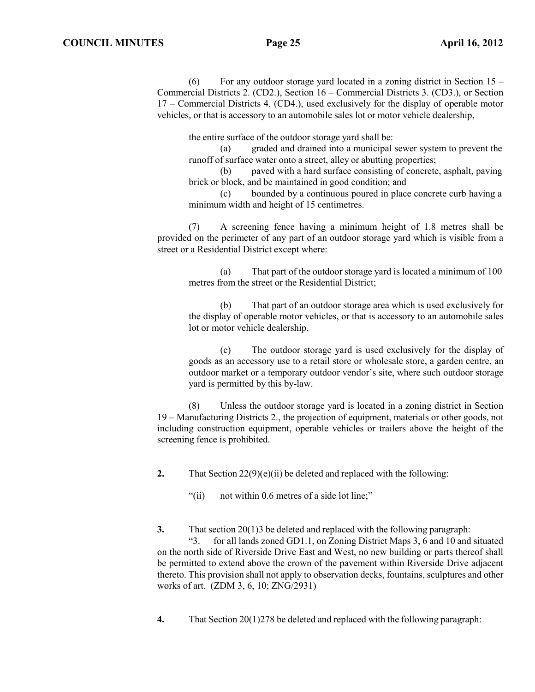(6) For any outdoor storage yard located in a zoning district in Section 15 – Commercial Districts 2. (CD2.), Section 16 – Commercial Districts 3. (CD3.), or Section 17 – Commercial Districts 4. (CD4.), used exclusively for the display of operable motor vehicles, or that is accessory to an automobile sales lot or motor vehicle dealership,

the entire surface of the outdoor storage yard shall be:

(a) graded and drained into a municipal sewer system to prevent the runoff of surface water onto a street, alley or abutting properties;

(b) paved with a hard surface consisting of concrete, asphalt, paving brick or block, and be maintained in good condition; and

(c) bounded by a continuous poured in place concrete curb having a minimum width and height of 15 centimetres.

(7) A screening fence having a minimum height of 1.8 metres shall be provided on the perimeter of any part of an outdoor storage yard which is visible from a street or a Residential District except where:

(a) That part of the outdoor storage yard is located a minimum of 100 metres from the street or the Residential District;

(b) That part of an outdoor storage area which is used exclusively for the display of operable motor vehicles, or that is accessory to an automobile sales lot or motor vehicle dealership,

(c) The outdoor storage yard is used exclusively for the display of goods as an accessory use to a retail store or wholesale store, a garden centre, an outdoor market or a temporary outdoor vendor's site, where such outdoor storage yard is permitted by this by-law.

(8) Unless the outdoor storage yard is located in a zoning district in Section 19 – Manufacturing Districts 2., the projection of equipment, materials or other goods, not including construction equipment, operable vehicles or trailers above the height of the screening fence is prohibited.

**2.** That Section 22(9)(e)(ii) be deleted and replaced with the following:

"(ii) not within 0.6 metres of a side lot line;"

**3.** That section 20(1)3 be deleted and replaced with the following paragraph:

"3. for all lands zoned GD1.1, on Zoning District Maps 3, 6 and 10 and situated on the north side of Riverside Drive East and West, no new building or parts thereof shall be permitted to extend above the crown of the pavement within Riverside Drive adjacent thereto. This provision shall not apply to observation decks, fountains, sculptures and other works of art. (ZDM 3, 6, 10; ZNG/2931)

**4.** That Section 20(1)278 be deleted and replaced with the following paragraph: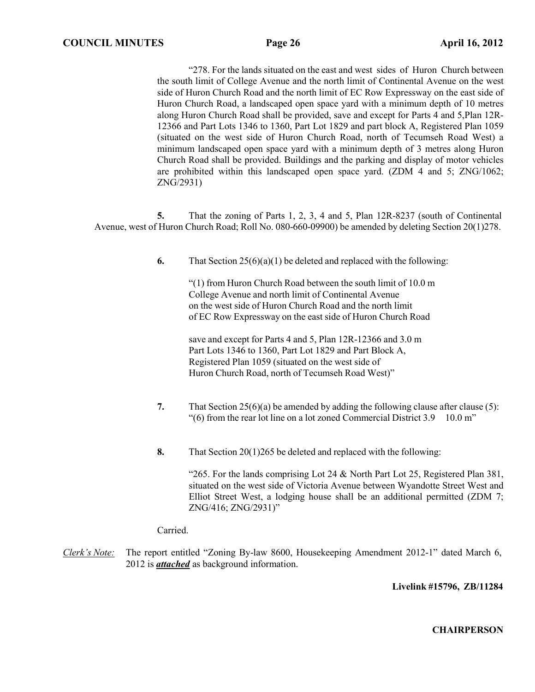"278. For the lands situated on the east and west sides of Huron Church between the south limit of College Avenue and the north limit of Continental Avenue on the west side of Huron Church Road and the north limit of EC Row Expressway on the east side of Huron Church Road, a landscaped open space yard with a minimum depth of 10 metres along Huron Church Road shall be provided, save and except for Parts 4 and 5,Plan 12R-12366 and Part Lots 1346 to 1360, Part Lot 1829 and part block A, Registered Plan 1059 (situated on the west side of Huron Church Road, north of Tecumseh Road West) a minimum landscaped open space yard with a minimum depth of 3 metres along Huron Church Road shall be provided. Buildings and the parking and display of motor vehicles are prohibited within this landscaped open space yard. (ZDM 4 and 5; ZNG/1062; ZNG/2931)

**5.** That the zoning of Parts 1, 2, 3, 4 and 5, Plan 12R-8237 (south of Continental Avenue, west of Huron Church Road; Roll No. 080-660-09900) be amended by deleting Section 20(1)278.

**6.** That Section 25(6)(a)(1) be deleted and replaced with the following:

"(1) from Huron Church Road between the south limit of 10.0 m College Avenue and north limit of Continental Avenue on the west side of Huron Church Road and the north limit of EC Row Expressway on the east side of Huron Church Road

save and except for Parts 4 and 5, Plan 12R-12366 and 3.0 m Part Lots 1346 to 1360, Part Lot 1829 and Part Block A, Registered Plan 1059 (situated on the west side of Huron Church Road, north of Tecumseh Road West)"

- **7.** That Section 25(6)(a) be amended by adding the following clause after clause (5): "(6) from the rear lot line on a lot zoned Commercial District 3.9 10.0 m"
- **8.** That Section 20(1)265 be deleted and replaced with the following:

"265. For the lands comprising Lot 24  $&$  North Part Lot 25, Registered Plan 381, situated on the west side of Victoria Avenue between Wyandotte Street West and Elliot Street West, a lodging house shall be an additional permitted (ZDM 7; ZNG/416; ZNG/2931)"

Carried.

*Clerk's Note:* The report entitled "Zoning By-law 8600, Housekeeping Amendment 2012-1" dated March 6, 2012 is *attached* as background information.

**Livelink #15796, ZB/11284**

**CHAIRPERSON**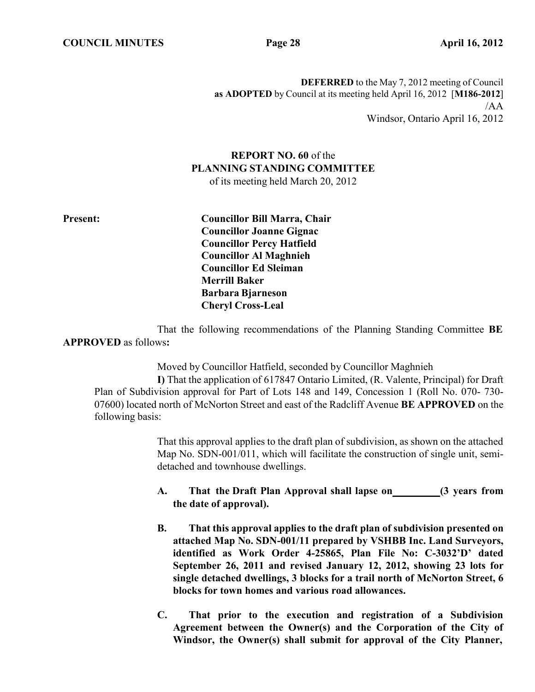**DEFERRED** to the May 7, 2012 meeting of Council **as ADOPTED** by Council at its meeting held April 16, 2012 [**M186-2012**] /AA Windsor, Ontario April 16, 2012

# **REPORT NO. 60** of the **PLANNING STANDING COMMITTEE**

of its meeting held March 20, 2012

**Present: Councillor Bill Marra, Chair Councillor Joanne Gignac Councillor Percy Hatfield Councillor Al Maghnieh Councillor Ed Sleiman Merrill Baker Barbara Bjarneson Cheryl Cross-Leal**

That the following recommendations of the Planning Standing Committee **BE APPROVED** as follows**:**

Moved by Councillor Hatfield, seconded by Councillor Maghnieh

**I)** That the application of 617847 Ontario Limited, (R. Valente, Principal) for Draft Plan of Subdivision approval for Part of Lots 148 and 149, Concession 1 (Roll No. 070- 730- 07600) located north of McNorton Street and east of the Radcliff Avenue **BE APPROVED** on the following basis:

> That this approval applies to the draft plan of subdivision, as shown on the attached Map No. SDN-001/011, which will facilitate the construction of single unit, semidetached and townhouse dwellings.

- **A. That the Draft Plan Approval shall lapse on (3 years from the date of approval).**
- **B. That this approval applies to the draft plan of subdivision presented on attached Map No. SDN-001/11 prepared by VSHBB Inc. Land Surveyors, identified as Work Order 4-25865, Plan File No: C-3032'D' dated September 26, 2011 and revised January 12, 2012, showing 23 lots for single detached dwellings, 3 blocks for a trail north of McNorton Street, 6 blocks for town homes and various road allowances.**
- **C. That prior to the execution and registration of a Subdivision Agreement between the Owner(s) and the Corporation of the City of Windsor, the Owner(s) shall submit for approval of the City Planner,**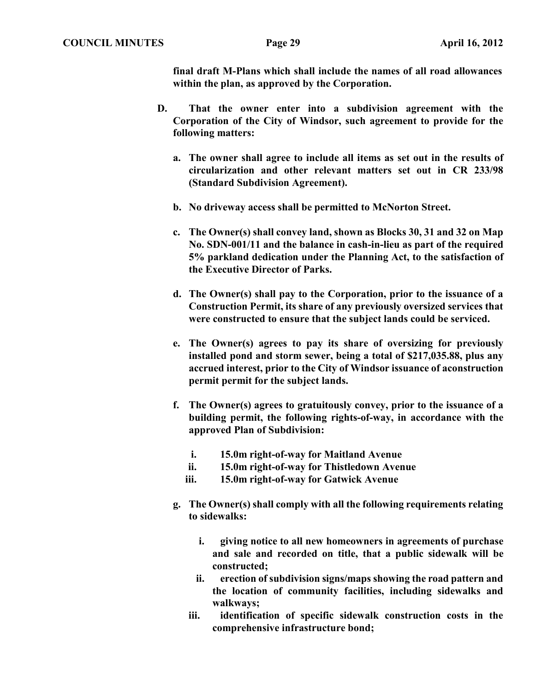**final draft M-Plans which shall include the names of all road allowances within the plan, as approved by the Corporation.**

- **D. That the owner enter into a subdivision agreement with the Corporation of the City of Windsor, such agreement to provide for the following matters:**
	- **a. The owner shall agree to include all items as set out in the results of circularization and other relevant matters set out in CR 233/98 (Standard Subdivision Agreement).**
	- **b. No driveway access shall be permitted to McNorton Street.**
	- **c. The Owner(s) shall convey land, shown as Blocks 30, 31 and 32 on Map No. SDN-001/11 and the balance in cash-in-lieu as part of the required 5% parkland dedication under the Planning Act, to the satisfaction of the Executive Director of Parks.**
	- **d. The Owner(s) shall pay to the Corporation, prior to the issuance of a Construction Permit, its share of any previously oversized services that were constructed to ensure that the subject lands could be serviced.**
	- **e. The Owner(s) agrees to pay its share of oversizing for previously installed pond and storm sewer, being a total of \$217,035.88, plus any accrued interest, prior to the City of Windsor issuance of aconstruction permit permit for the subject lands.**
	- **f. The Owner(s) agrees to gratuitously convey, prior to the issuance of a building permit, the following rights-of-way, in accordance with the approved Plan of Subdivision:**
		- **i. 15.0m right-of-way for Maitland Avenue**
		- **ii. 15.0m right-of-way for Thistledown Avenue**
		- **iii. 15.0m right-of-way for Gatwick Avenue**
	- **g. The Owner(s) shall comply with all the following requirements relating to sidewalks:**
		- **i. giving notice to all new homeowners in agreements of purchase and sale and recorded on title, that a public sidewalk will be constructed;**
		- **ii. erection of subdivision signs/maps showing the road pattern and the location of community facilities, including sidewalks and walkways;**
		- **iii. identification of specific sidewalk construction costs in the comprehensive infrastructure bond;**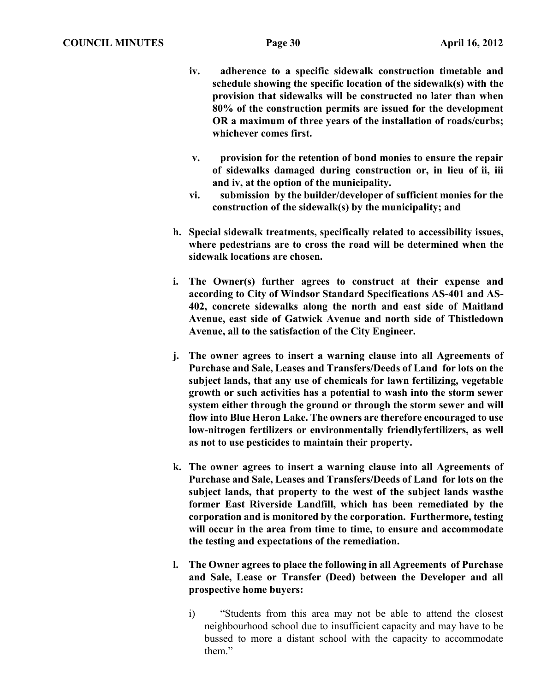- **iv. adherence to a specific sidewalk construction timetable and schedule showing the specific location of the sidewalk(s) with the provision that sidewalks will be constructed no later than when 80% of the construction permits are issued for the development OR a maximum of three years of the installation of roads/curbs; whichever comes first.**
- **v. provision for the retention of bond monies to ensure the repair of sidewalks damaged during construction or, in lieu of ii, iii and iv, at the option of the municipality.**
- **vi. submission by the builder/developer of sufficient monies for the construction of the sidewalk(s) by the municipality; and**
- **h. Special sidewalk treatments, specifically related to accessibility issues, where pedestrians are to cross the road will be determined when the sidewalk locations are chosen.**
- **i. The Owner(s) further agrees to construct at their expense and according to City of Windsor Standard Specifications AS-401 and AS-402, concrete sidewalks along the north and east side of Maitland Avenue, east side of Gatwick Avenue and north side of Thistledown Avenue, all to the satisfaction of the City Engineer.**
- **j. The owner agrees to insert a warning clause into all Agreements of Purchase and Sale, Leases and Transfers/Deeds of Land for lots on the subject lands, that any use of chemicals for lawn fertilizing, vegetable growth or such activities has a potential to wash into the storm sewer system either through the ground or through the storm sewer and will flow into Blue Heron Lake. The owners are therefore encouraged to use low-nitrogen fertilizers or environmentally friendlyfertilizers, as well as not to use pesticides to maintain their property.**
- **k. The owner agrees to insert a warning clause into all Agreements of Purchase and Sale, Leases and Transfers/Deeds of Land for lots on the subject lands, that property to the west of the subject lands wasthe former East Riverside Landfill, which has been remediated by the corporation and is monitored by the corporation. Furthermore, testing will occur in the area from time to time, to ensure and accommodate the testing and expectations of the remediation.**
- **l. The Owner agrees to place the following in all Agreements of Purchase and Sale, Lease or Transfer (Deed) between the Developer and all prospective home buyers:**
	- i) "Students from this area may not be able to attend the closest neighbourhood school due to insufficient capacity and may have to be bussed to more a distant school with the capacity to accommodate them."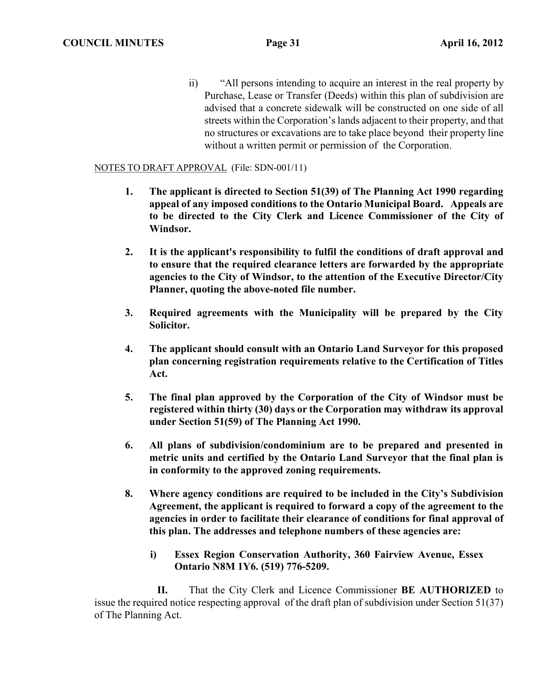ii) "All persons intending to acquire an interest in the real property by Purchase, Lease or Transfer (Deeds) within this plan of subdivision are advised that a concrete sidewalk will be constructed on one side of all streets within the Corporation's lands adjacent to their property, and that no structures or excavations are to take place beyond their property line without a written permit or permission of the Corporation.

# NOTES TO DRAFT APPROVAL (File: SDN-001/11)

- **1. The applicant is directed to Section 51(39) of The Planning Act 1990 regarding appeal of any imposed conditions to the Ontario Municipal Board. Appeals are to be directed to the City Clerk and Licence Commissioner of the City of Windsor.**
- **2. It is the applicant's responsibility to fulfil the conditions of draft approval and to ensure that the required clearance letters are forwarded by the appropriate agencies to the City of Windsor, to the attention of the Executive Director/City Planner, quoting the above-noted file number.**
- **3. Required agreements with the Municipality will be prepared by the City Solicitor.**
- **4. The applicant should consult with an Ontario Land Surveyor for this proposed plan concerning registration requirements relative to the Certification of Titles Act.**
- **5. The final plan approved by the Corporation of the City of Windsor must be registered within thirty (30) days or the Corporation may withdraw its approval under Section 51(59) of The Planning Act 1990.**
- **6. All plans of subdivision/condominium are to be prepared and presented in metric units and certified by the Ontario Land Surveyor that the final plan is in conformity to the approved zoning requirements.**
- **8. Where agency conditions are required to be included in the City's Subdivision Agreement, the applicant is required to forward a copy of the agreement to the agencies in order to facilitate their clearance of conditions for final approval of this plan. The addresses and telephone numbers of these agencies are:**
	- **i) Essex Region Conservation Authority, 360 Fairview Avenue, Essex Ontario N8M 1Y6. (519) 776-5209.**

**II.** That the City Clerk and Licence Commissioner **BE AUTHORIZED** to issue the required notice respecting approval of the draft plan of subdivision under Section 51(37) of The Planning Act.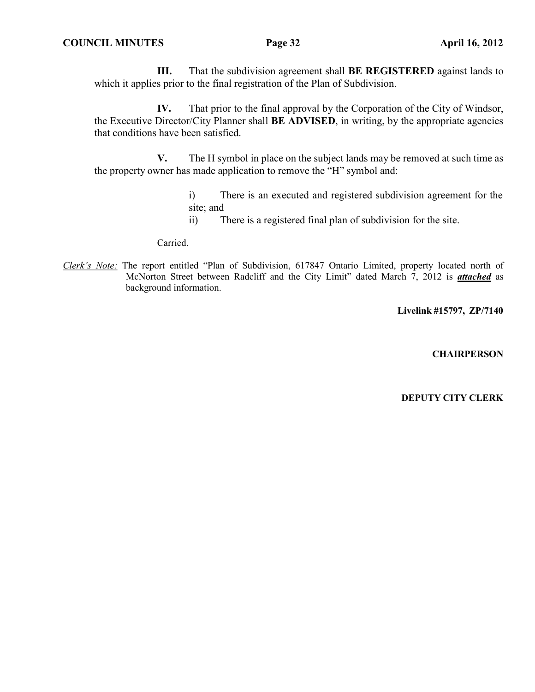**III.** That the subdivision agreement shall **BE REGISTERED** against lands to which it applies prior to the final registration of the Plan of Subdivision.

**IV.** That prior to the final approval by the Corporation of the City of Windsor, the Executive Director/City Planner shall **BE ADVISED**, in writing, by the appropriate agencies that conditions have been satisfied.

**V.** The H symbol in place on the subject lands may be removed at such time as the property owner has made application to remove the "H" symbol and:

> i) There is an executed and registered subdivision agreement for the site; and

ii) There is a registered final plan of subdivision for the site.

Carried.

*Clerk's Note:* The report entitled "Plan of Subdivision, 617847 Ontario Limited, property located north of McNorton Street between Radcliff and the City Limit" dated March 7, 2012 is *attached* as background information.

**Livelink #15797, ZP/7140**

**CHAIRPERSON**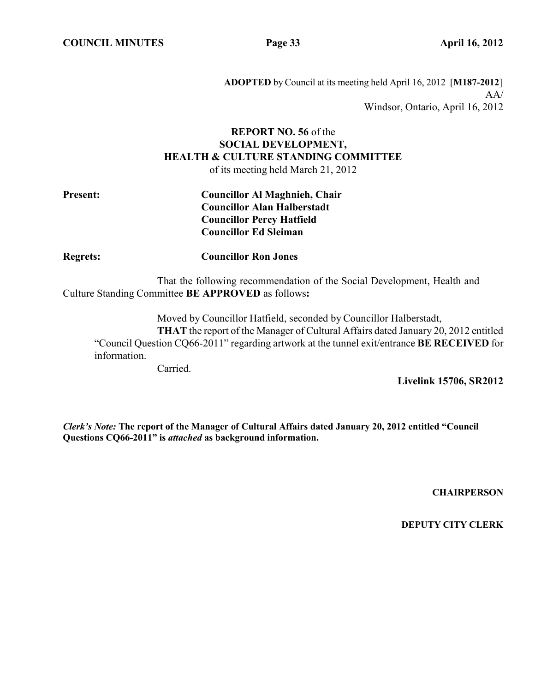**ADOPTED** by Council at its meeting held April 16, 2012 [**M187-2012**] AA/ Windsor, Ontario, April 16, 2012

# **REPORT NO. 56** of the **SOCIAL DEVELOPMENT, HEALTH & CULTURE STANDING COMMITTEE** of its meeting held March 21, 2012

| <b>Present:</b> | <b>Councillor Al Maghnieh, Chair</b> |
|-----------------|--------------------------------------|
|                 | <b>Councillor Alan Halberstadt</b>   |
|                 | <b>Councillor Percy Hatfield</b>     |
|                 | <b>Councillor Ed Sleiman</b>         |

# **Regrets: Councillor Ron Jones**

That the following recommendation of the Social Development, Health and Culture Standing Committee **BE APPROVED** as follows**:**

Moved by Councillor Hatfield, seconded by Councillor Halberstadt, **THAT** the report of the Manager of Cultural Affairs dated January 20, 2012 entitled "Council Question CQ66-2011" regarding artwork at the tunnel exit/entrance **BE RECEIVED** for information.

Carried.

**Livelink 15706, SR2012**

*Clerk's Note:* **The report of the Manager of Cultural Affairs dated January 20, 2012 entitled "Council Questions CQ66-2011" is** *attached* **as background information.**

**CHAIRPERSON**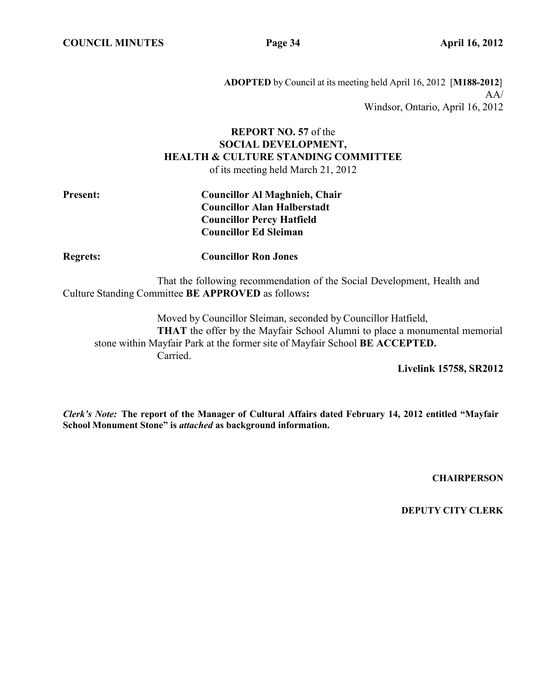**ADOPTED** by Council at its meeting held April 16, 2012 [**M188-2012**] AA/ Windsor, Ontario, April 16, 2012

# **REPORT NO. 57** of the **SOCIAL DEVELOPMENT, HEALTH & CULTURE STANDING COMMITTEE** of its meeting held March 21, 2012

| <b>Councillor Al Maghnieh, Chair</b> |
|--------------------------------------|
| <b>Councillor Alan Halberstadt</b>   |
| <b>Councillor Percy Hatfield</b>     |
| <b>Councillor Ed Sleiman</b>         |
|                                      |

# **Regrets: Councillor Ron Jones**

That the following recommendation of the Social Development, Health and Culture Standing Committee **BE APPROVED** as follows**:**

Moved by Councillor Sleiman, seconded by Councillor Hatfield, **THAT** the offer by the Mayfair School Alumni to place a monumental memorial stone within Mayfair Park at the former site of Mayfair School **BE ACCEPTED.** Carried.

**Livelink 15758, SR2012**

*Clerk's Note:* **The report of the Manager of Cultural Affairs dated February 14, 2012 entitled "Mayfair School Monument Stone" is** *attached* **as background information.**

**CHAIRPERSON**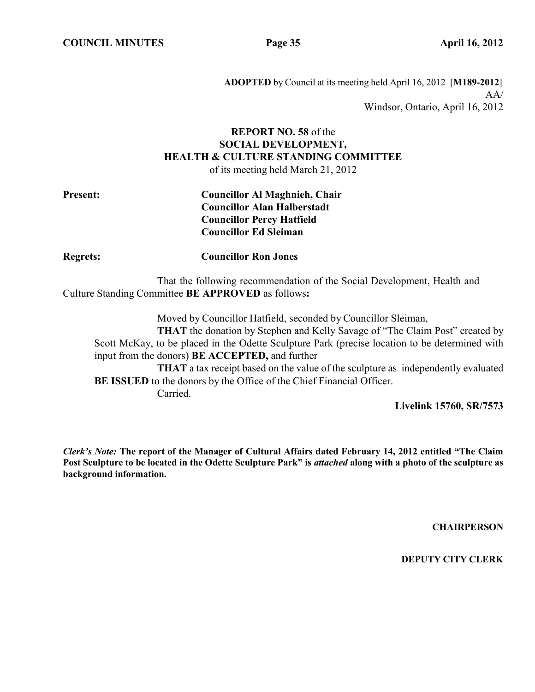**ADOPTED** by Council at its meeting held April 16, 2012 [**M189-2012**] AA/ Windsor, Ontario, April 16, 2012

# **REPORT NO. 58** of the **SOCIAL DEVELOPMENT, HEALTH & CULTURE STANDING COMMITTEE** of its meeting held March 21, 2012

| <b>Present:</b> | <b>Councillor Al Maghnieh, Chair</b> |
|-----------------|--------------------------------------|
|                 | <b>Councillor Alan Halberstadt</b>   |
|                 | <b>Councillor Percy Hatfield</b>     |
|                 | <b>Councillor Ed Sleiman</b>         |

**Regrets: Councillor Ron Jones**

That the following recommendation of the Social Development, Health and Culture Standing Committee **BE APPROVED** as follows**:**

Moved by Councillor Hatfield, seconded by Councillor Sleiman,

**THAT** the donation by Stephen and Kelly Savage of "The Claim Post" created by Scott McKay, to be placed in the Odette Sculpture Park (precise location to be determined with input from the donors) **BE ACCEPTED,** and further

**THAT** a tax receipt based on the value of the sculpture as independently evaluated **BE ISSUED** to the donors by the Office of the Chief Financial Officer. Carried.

**Livelink 15760, SR/7573**

*Clerk's Note:* **The report of the Manager of Cultural Affairs dated February 14, 2012 entitled "The Claim** Post Sculpture to be located in the Odette Sculpture Park" is *attached* along with a photo of the sculpture as **background information.**

**CHAIRPERSON**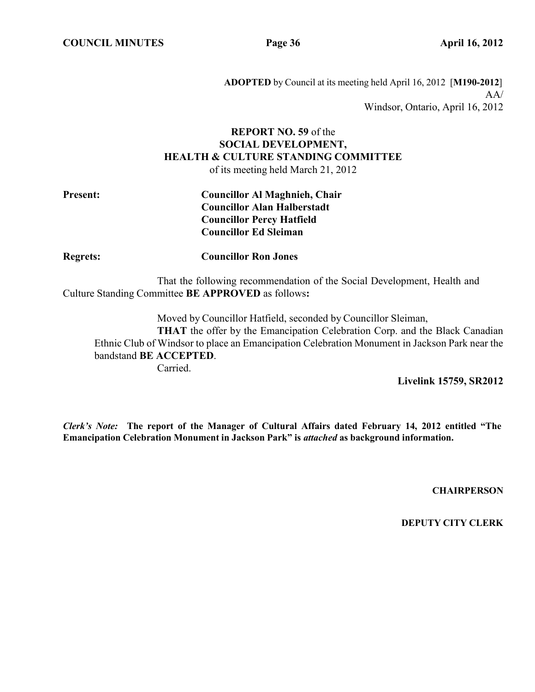**ADOPTED** by Council at its meeting held April 16, 2012 [**M190-2012**] AA/ Windsor, Ontario, April 16, 2012

# **REPORT NO. 59** of the **SOCIAL DEVELOPMENT, HEALTH & CULTURE STANDING COMMITTEE** of its meeting held March 21, 2012

| <b>Present:</b> | <b>Councillor Al Maghnieh, Chair</b> |
|-----------------|--------------------------------------|
|                 | <b>Councillor Alan Halberstadt</b>   |
|                 | <b>Councillor Percy Hatfield</b>     |
|                 | <b>Councillor Ed Sleiman</b>         |

# **Regrets: Councillor Ron Jones**

That the following recommendation of the Social Development, Health and Culture Standing Committee **BE APPROVED** as follows**:**

Moved by Councillor Hatfield, seconded by Councillor Sleiman, **THAT** the offer by the Emancipation Celebration Corp. and the Black Canadian Ethnic Club of Windsor to place an Emancipation Celebration Monument in Jackson Park near the bandstand **BE ACCEPTED**. Carried.

**Livelink 15759, SR2012**

*Clerk's Note:* **The report of the Manager of Cultural Affairs dated February 14, 2012 entitled "The Emancipation Celebration Monument in Jackson Park" is** *attached* **as background information.**

**CHAIRPERSON**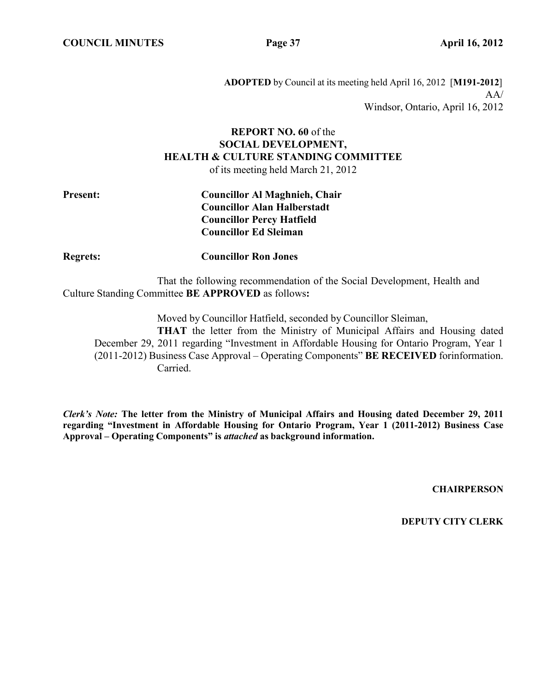**ADOPTED** by Council at its meeting held April 16, 2012 [**M191-2012**] AA/ Windsor, Ontario, April 16, 2012

# **REPORT NO. 60** of the **SOCIAL DEVELOPMENT, HEALTH & CULTURE STANDING COMMITTEE** of its meeting held March 21, 2012

| <b>Present:</b> | <b>Councillor Al Maghnieh, Chair</b> |
|-----------------|--------------------------------------|
|                 | <b>Councillor Alan Halberstadt</b>   |
|                 | <b>Councillor Percy Hatfield</b>     |
|                 | <b>Councillor Ed Sleiman</b>         |

# **Regrets: Councillor Ron Jones**

That the following recommendation of the Social Development, Health and Culture Standing Committee **BE APPROVED** as follows**:**

Moved by Councillor Hatfield, seconded by Councillor Sleiman, **THAT** the letter from the Ministry of Municipal Affairs and Housing dated December 29, 2011 regarding "Investment in Affordable Housing for Ontario Program, Year 1 (2011-2012) Business Case Approval – Operating Components" **BE RECEIVED** forinformation. Carried.

*Clerk's Note:* **The letter from the Ministry of Municipal Affairs and Housing dated December 29, 2011 regarding "Investment in Affordable Housing for Ontario Program, Year 1 (2011-2012) Business Case Approval – Operating Components" is** *attached* **as background information.**

**CHAIRPERSON**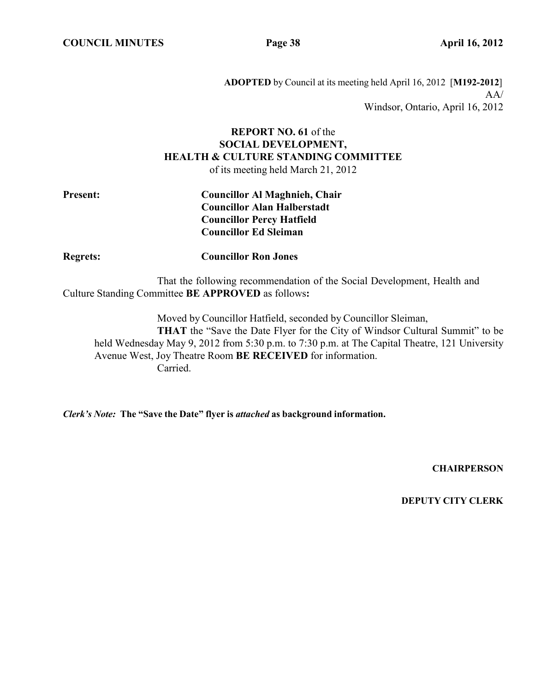**ADOPTED** by Council at its meeting held April 16, 2012 [**M192-2012**] AA/ Windsor, Ontario, April 16, 2012

# **REPORT NO. 61** of the **SOCIAL DEVELOPMENT, HEALTH & CULTURE STANDING COMMITTEE** of its meeting held March 21, 2012

| <b>Present:</b> | <b>Councillor Al Maghnieh, Chair</b> |
|-----------------|--------------------------------------|
|                 | <b>Councillor Alan Halberstadt</b>   |
|                 | <b>Councillor Percy Hatfield</b>     |
|                 | <b>Councillor Ed Sleiman</b>         |

# **Regrets: Councillor Ron Jones**

That the following recommendation of the Social Development, Health and Culture Standing Committee **BE APPROVED** as follows**:**

Moved by Councillor Hatfield, seconded by Councillor Sleiman, **THAT** the "Save the Date Flyer for the City of Windsor Cultural Summit" to be held Wednesday May 9, 2012 from 5:30 p.m. to 7:30 p.m. at The Capital Theatre, 121 University Avenue West, Joy Theatre Room **BE RECEIVED** for information. Carried.

*Clerk's Note:* **The "Save the Date" flyer is** *attached* **as background information.**

**CHAIRPERSON**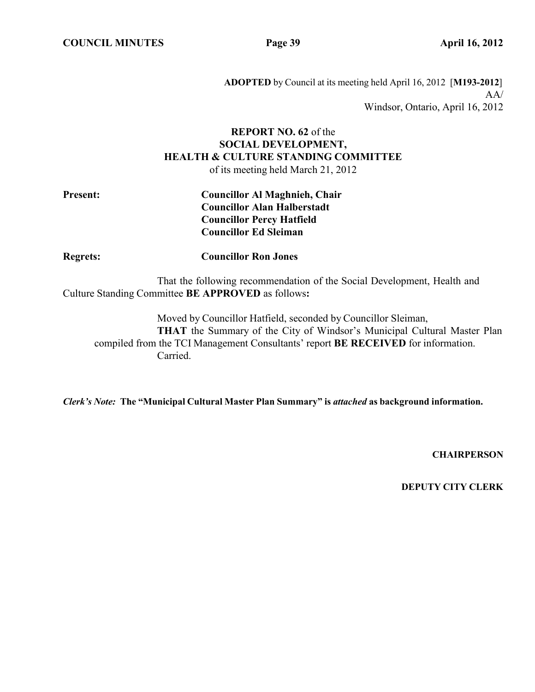**ADOPTED** by Council at its meeting held April 16, 2012 [**M193-2012**] AA/ Windsor, Ontario, April 16, 2012

# **REPORT NO. 62** of the **SOCIAL DEVELOPMENT, HEALTH & CULTURE STANDING COMMITTEE** of its meeting held March 21, 2012

| <b>Present:</b> | <b>Councillor Al Maghnieh, Chair</b> |
|-----------------|--------------------------------------|
|                 | <b>Councillor Alan Halberstadt</b>   |
|                 | <b>Councillor Percy Hatfield</b>     |
|                 | <b>Councillor Ed Sleiman</b>         |

# **Regrets: Councillor Ron Jones**

That the following recommendation of the Social Development, Health and Culture Standing Committee **BE APPROVED** as follows**:**

Moved by Councillor Hatfield, seconded by Councillor Sleiman, **THAT** the Summary of the City of Windsor's Municipal Cultural Master Plan compiled from the TCI Management Consultants' report **BE RECEIVED** for information. Carried.

*Clerk's Note:* **The "Municipal Cultural Master Plan Summary" is** *attached* **as background information.**

**CHAIRPERSON**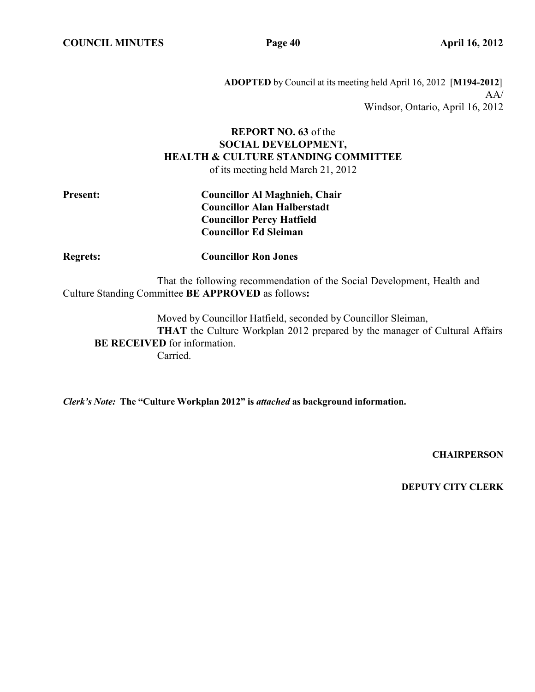**ADOPTED** by Council at its meeting held April 16, 2012 [**M194-2012**] AA/ Windsor, Ontario, April 16, 2012

# **REPORT NO. 63** of the **SOCIAL DEVELOPMENT, HEALTH & CULTURE STANDING COMMITTEE** of its meeting held March 21, 2012

| <b>Present:</b> | <b>Councillor Al Maghnieh, Chair</b> |
|-----------------|--------------------------------------|
|                 | <b>Councillor Alan Halberstadt</b>   |
|                 | <b>Councillor Percy Hatfield</b>     |
|                 | <b>Councillor Ed Sleiman</b>         |

# **Regrets: Councillor Ron Jones**

That the following recommendation of the Social Development, Health and Culture Standing Committee **BE APPROVED** as follows**:**

Moved by Councillor Hatfield, seconded by Councillor Sleiman, **THAT** the Culture Workplan 2012 prepared by the manager of Cultural Affairs **BE RECEIVED** for information. Carried.

*Clerk's Note:* **The "Culture Workplan 2012" is** *attached* **as background information.**

**CHAIRPERSON**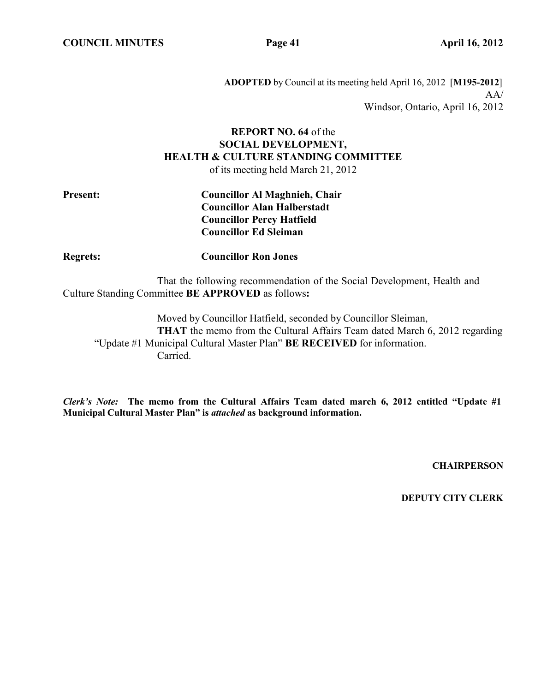**ADOPTED** by Council at its meeting held April 16, 2012 [**M195-2012**] AA/ Windsor, Ontario, April 16, 2012

# **REPORT NO. 64** of the **SOCIAL DEVELOPMENT, HEALTH & CULTURE STANDING COMMITTEE** of its meeting held March 21, 2012

| <b>Present:</b> | <b>Councillor Al Maghnieh, Chair</b> |
|-----------------|--------------------------------------|
|                 | <b>Councillor Alan Halberstadt</b>   |
|                 | <b>Councillor Percy Hatfield</b>     |
|                 | <b>Councillor Ed Sleiman</b>         |

# **Regrets: Councillor Ron Jones**

That the following recommendation of the Social Development, Health and Culture Standing Committee **BE APPROVED** as follows**:**

Moved by Councillor Hatfield, seconded by Councillor Sleiman, **THAT** the memo from the Cultural Affairs Team dated March 6, 2012 regarding "Update #1 Municipal Cultural Master Plan" **BE RECEIVED** for information. Carried.

*Clerk's Note:* **The memo from the Cultural Affairs Team dated march 6, 2012 entitled "Update #1 Municipal Cultural Master Plan" is** *attached* **as background information.**

**CHAIRPERSON**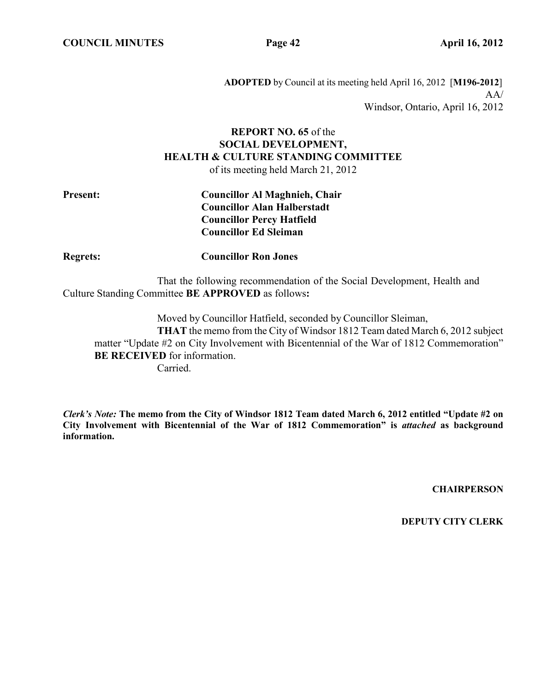**ADOPTED** by Council at its meeting held April 16, 2012 [**M196-2012**] AA/ Windsor, Ontario, April 16, 2012

# **REPORT NO. 65** of the **SOCIAL DEVELOPMENT, HEALTH & CULTURE STANDING COMMITTEE** of its meeting held March 21, 2012

| <b>Present:</b> | <b>Councillor Al Maghnieh, Chair</b> |
|-----------------|--------------------------------------|
|                 | <b>Councillor Alan Halberstadt</b>   |
|                 | <b>Councillor Percy Hatfield</b>     |
|                 | <b>Councillor Ed Sleiman</b>         |
|                 |                                      |

# **Regrets: Councillor Ron Jones**

That the following recommendation of the Social Development, Health and Culture Standing Committee **BE APPROVED** as follows**:**

Moved by Councillor Hatfield, seconded by Councillor Sleiman, **THAT** the memo from the City of Windsor 1812 Team dated March 6, 2012 subject matter "Update #2 on City Involvement with Bicentennial of the War of 1812 Commemoration" **BE RECEIVED** for information. Carried.

*Clerk's Note:* **The memo from the City of Windsor 1812 Team dated March 6, 2012 entitled "Update #2 on City Involvement with Bicentennial of the War of 1812 Commemoration" is** *attached* **as background information.**

**CHAIRPERSON**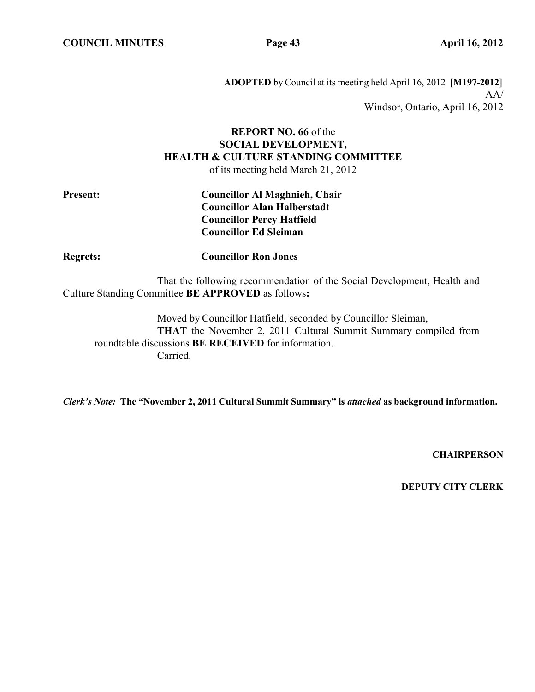**ADOPTED** by Council at its meeting held April 16, 2012 [**M197-2012**] AA/ Windsor, Ontario, April 16, 2012

# **REPORT NO. 66** of the **SOCIAL DEVELOPMENT, HEALTH & CULTURE STANDING COMMITTEE** of its meeting held March 21, 2012

| <b>Present:</b> | <b>Councillor Al Maghnieh, Chair</b> |
|-----------------|--------------------------------------|
|                 | <b>Councillor Alan Halberstadt</b>   |
|                 | <b>Councillor Percy Hatfield</b>     |
|                 | <b>Councillor Ed Sleiman</b>         |

# **Regrets: Councillor Ron Jones**

That the following recommendation of the Social Development, Health and Culture Standing Committee **BE APPROVED** as follows**:**

Moved by Councillor Hatfield, seconded by Councillor Sleiman, **THAT** the November 2, 2011 Cultural Summit Summary compiled from roundtable discussions **BE RECEIVED** for information. Carried.

*Clerk's Note:* **The "November 2, 2011 Cultural Summit Summary" is** *attached* **as background information.**

**CHAIRPERSON**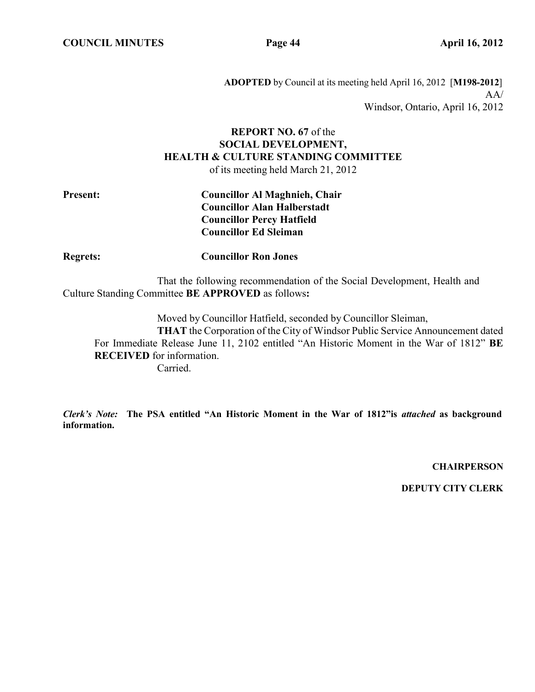**ADOPTED** by Council at its meeting held April 16, 2012 [**M198-2012**] AA/ Windsor, Ontario, April 16, 2012

# **REPORT NO. 67** of the **SOCIAL DEVELOPMENT, HEALTH & CULTURE STANDING COMMITTEE** of its meeting held March 21, 2012

| <b>Present:</b> | <b>Councillor Al Maghnieh, Chair</b> |
|-----------------|--------------------------------------|
|                 | <b>Councillor Alan Halberstadt</b>   |
|                 | <b>Councillor Percy Hatfield</b>     |
|                 | <b>Councillor Ed Sleiman</b>         |

# **Regrets: Councillor Ron Jones**

That the following recommendation of the Social Development, Health and Culture Standing Committee **BE APPROVED** as follows**:**

Moved by Councillor Hatfield, seconded by Councillor Sleiman, **THAT** the Corporation of the City of Windsor Public Service Announcement dated For Immediate Release June 11, 2102 entitled "An Historic Moment in the War of 1812" **BE RECEIVED** for information. Carried.

*Clerk's Note:* **The PSA entitled "An Historic Moment in the War of 1812"is** *attached* **as background information.**

**CHAIRPERSON**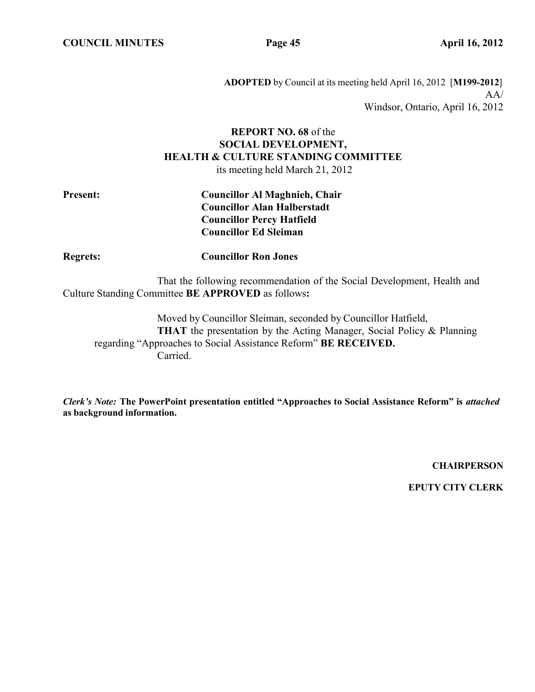**ADOPTED** by Council at its meeting held April 16, 2012 [**M199-2012**] AA/ Windsor, Ontario, April 16, 2012

# **REPORT NO. 68** of the **SOCIAL DEVELOPMENT, HEALTH & CULTURE STANDING COMMITTEE** its meeting held March 21, 2012

| <b>Present:</b> | <b>Councillor Al Maghnieh, Chair</b> |
|-----------------|--------------------------------------|
|                 | <b>Councillor Alan Halberstadt</b>   |
|                 | <b>Councillor Percy Hatfield</b>     |
|                 | <b>Councillor Ed Sleiman</b>         |

# **Regrets: Councillor Ron Jones**

That the following recommendation of the Social Development, Health and Culture Standing Committee **BE APPROVED** as follows**:**

Moved by Councillor Sleiman, seconded by Councillor Hatfield, **THAT** the presentation by the Acting Manager, Social Policy & Planning regarding "Approaches to Social Assistance Reform" **BE RECEIVED.** Carried.

*Clerk's Note:* **The PowerPoint presentation entitled "Approaches to Social Assistance Reform" is** *attached* **as background information.**

**CHAIRPERSON**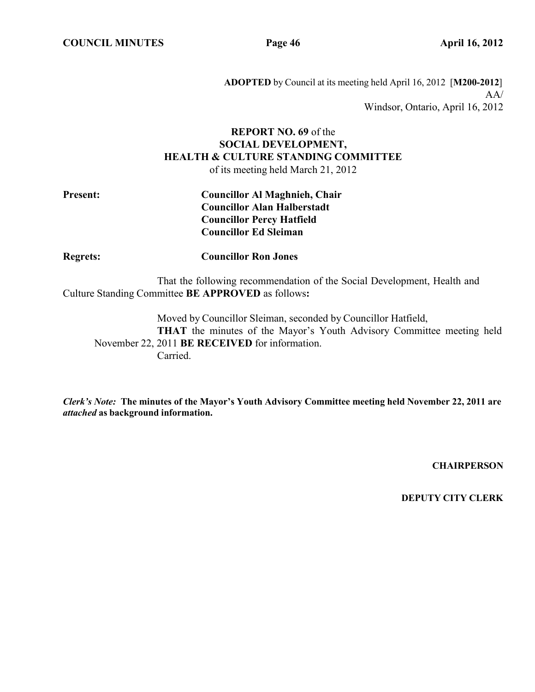**ADOPTED** by Council at its meeting held April 16, 2012 [**M200-2012**] AA/ Windsor, Ontario, April 16, 2012

# **REPORT NO. 69** of the **SOCIAL DEVELOPMENT, HEALTH & CULTURE STANDING COMMITTEE** of its meeting held March 21, 2012

| <b>Present:</b> | <b>Councillor Al Maghnieh, Chair</b> |
|-----------------|--------------------------------------|
|                 | <b>Councillor Alan Halberstadt</b>   |
|                 | <b>Councillor Percy Hatfield</b>     |
|                 | <b>Councillor Ed Sleiman</b>         |

# **Regrets: Councillor Ron Jones**

That the following recommendation of the Social Development, Health and Culture Standing Committee **BE APPROVED** as follows**:**

Moved by Councillor Sleiman, seconded by Councillor Hatfield, **THAT** the minutes of the Mayor's Youth Advisory Committee meeting held November 22, 2011 **BE RECEIVED** for information. Carried.

*Clerk's Note:* **The minutes of the Mayor's Youth Advisory Committee meeting held November 22, 2011 are** *attached* **as background information.**

**CHAIRPERSON**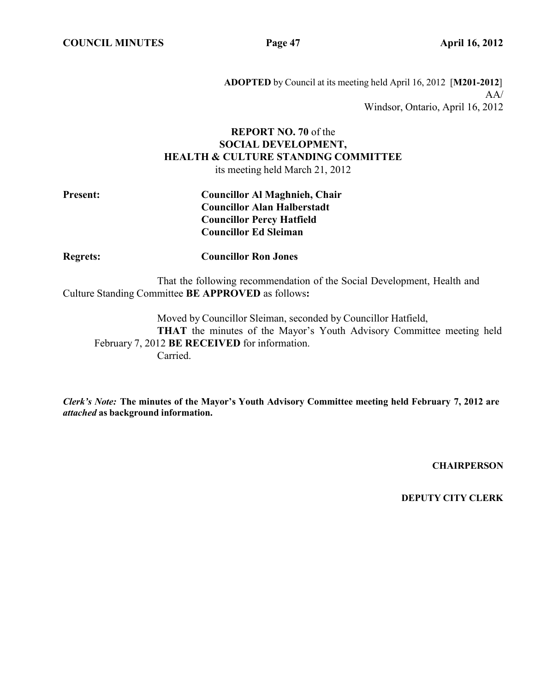**ADOPTED** by Council at its meeting held April 16, 2012 [**M201-2012**] AA/ Windsor, Ontario, April 16, 2012

# **REPORT NO. 70** of the **SOCIAL DEVELOPMENT, HEALTH & CULTURE STANDING COMMITTEE** its meeting held March 21, 2012

| <b>Present:</b> | <b>Councillor Al Maghnieh, Chair</b> |
|-----------------|--------------------------------------|
|                 | <b>Councillor Alan Halberstadt</b>   |
|                 | <b>Councillor Percy Hatfield</b>     |
|                 | <b>Councillor Ed Sleiman</b>         |

# **Regrets: Councillor Ron Jones**

That the following recommendation of the Social Development, Health and Culture Standing Committee **BE APPROVED** as follows**:**

Moved by Councillor Sleiman, seconded by Councillor Hatfield, **THAT** the minutes of the Mayor's Youth Advisory Committee meeting held February 7, 2012 **BE RECEIVED** for information. Carried.

*Clerk's Note:* **The minutes of the Mayor's Youth Advisory Committee meeting held February 7, 2012 are** *attached* **as background information.**

**CHAIRPERSON**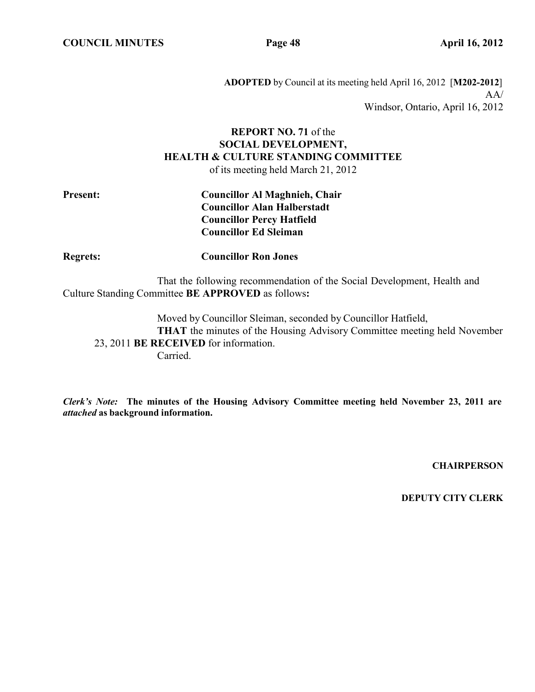**ADOPTED** by Council at its meeting held April 16, 2012 [**M202-2012**] AA/ Windsor, Ontario, April 16, 2012

# **REPORT NO. 71** of the **SOCIAL DEVELOPMENT, HEALTH & CULTURE STANDING COMMITTEE** of its meeting held March 21, 2012

| <b>Present:</b> | <b>Councillor Al Maghnieh, Chair</b> |
|-----------------|--------------------------------------|
|                 | <b>Councillor Alan Halberstadt</b>   |
|                 | <b>Councillor Percy Hatfield</b>     |
|                 | <b>Councillor Ed Sleiman</b>         |

# **Regrets: Councillor Ron Jones**

That the following recommendation of the Social Development, Health and Culture Standing Committee **BE APPROVED** as follows**:**

Moved by Councillor Sleiman, seconded by Councillor Hatfield, **THAT** the minutes of the Housing Advisory Committee meeting held November 23, 2011 **BE RECEIVED** for information. Carried.

*Clerk's Note:* **The minutes of the Housing Advisory Committee meeting held November 23, 2011 are** *attached* **as background information.**

**CHAIRPERSON**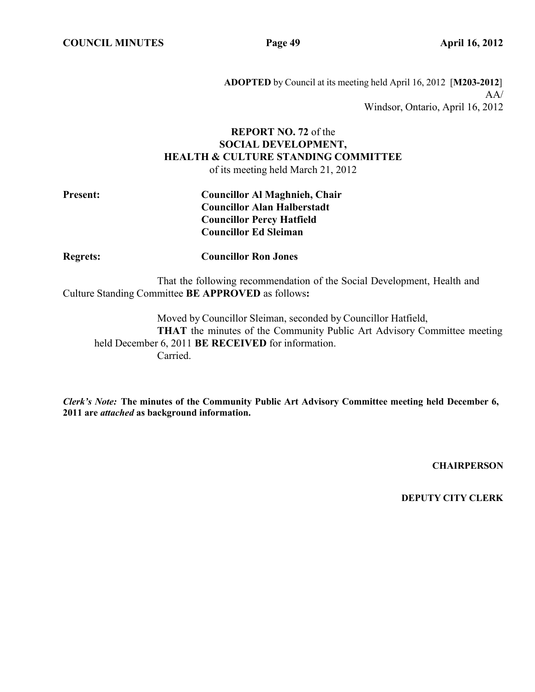**ADOPTED** by Council at its meeting held April 16, 2012 [**M203-2012**] AA/ Windsor, Ontario, April 16, 2012

# **REPORT NO. 72** of the **SOCIAL DEVELOPMENT, HEALTH & CULTURE STANDING COMMITTEE** of its meeting held March 21, 2012

| <b>Present:</b> | <b>Councillor Al Maghnieh, Chair</b> |
|-----------------|--------------------------------------|
|                 | <b>Councillor Alan Halberstadt</b>   |
|                 | <b>Councillor Percy Hatfield</b>     |
|                 | <b>Councillor Ed Sleiman</b>         |

# **Regrets: Councillor Ron Jones**

That the following recommendation of the Social Development, Health and Culture Standing Committee **BE APPROVED** as follows**:**

Moved by Councillor Sleiman, seconded by Councillor Hatfield, **THAT** the minutes of the Community Public Art Advisory Committee meeting held December 6, 2011 **BE RECEIVED** for information. Carried.

*Clerk's Note:* **The minutes of the Community Public Art Advisory Committee meeting held December 6, 2011 are** *attached* **as background information.**

**CHAIRPERSON**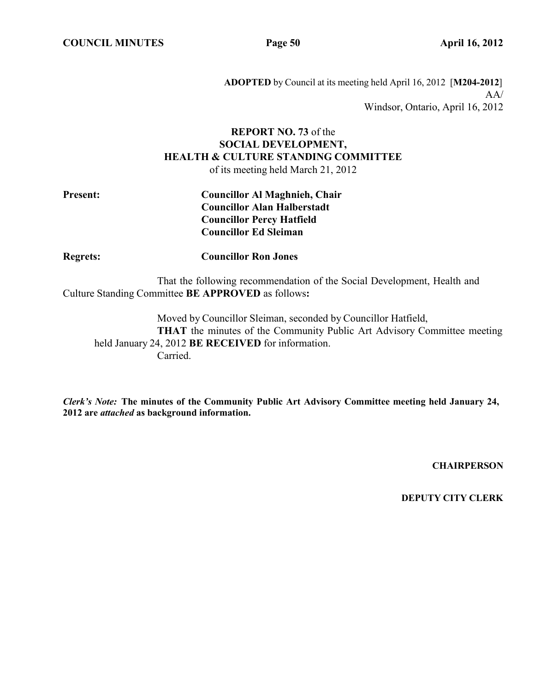**ADOPTED** by Council at its meeting held April 16, 2012 [**M204-2012**] AA/ Windsor, Ontario, April 16, 2012

# **REPORT NO. 73** of the **SOCIAL DEVELOPMENT, HEALTH & CULTURE STANDING COMMITTEE** of its meeting held March 21, 2012

| <b>Present:</b> | <b>Councillor Al Maghnieh, Chair</b> |
|-----------------|--------------------------------------|
|                 | <b>Councillor Alan Halberstadt</b>   |
|                 | <b>Councillor Percy Hatfield</b>     |
|                 | <b>Councillor Ed Sleiman</b>         |

# **Regrets: Councillor Ron Jones**

That the following recommendation of the Social Development, Health and Culture Standing Committee **BE APPROVED** as follows**:**

Moved by Councillor Sleiman, seconded by Councillor Hatfield, **THAT** the minutes of the Community Public Art Advisory Committee meeting held January 24, 2012 **BE RECEIVED** for information. Carried.

*Clerk's Note:* **The minutes of the Community Public Art Advisory Committee meeting held January 24, 2012 are** *attached* **as background information.**

**CHAIRPERSON**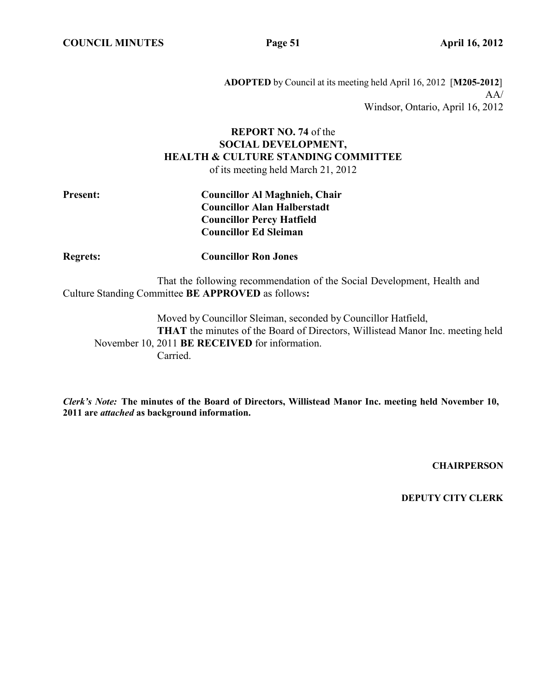**ADOPTED** by Council at its meeting held April 16, 2012 [**M205-2012**] AA/ Windsor, Ontario, April 16, 2012

# **REPORT NO. 74** of the **SOCIAL DEVELOPMENT, HEALTH & CULTURE STANDING COMMITTEE** of its meeting held March 21, 2012

| <b>Present:</b> | <b>Councillor Al Maghnieh, Chair</b> |
|-----------------|--------------------------------------|
|                 | <b>Councillor Alan Halberstadt</b>   |
|                 | <b>Councillor Percy Hatfield</b>     |
|                 | <b>Councillor Ed Sleiman</b>         |

# **Regrets: Councillor Ron Jones**

That the following recommendation of the Social Development, Health and Culture Standing Committee **BE APPROVED** as follows**:**

Moved by Councillor Sleiman, seconded by Councillor Hatfield, **THAT** the minutes of the Board of Directors, Willistead Manor Inc. meeting held November 10, 2011 **BE RECEIVED** for information. Carried.

*Clerk's Note:* **The minutes of the Board of Directors, Willistead Manor Inc. meeting held November 10, 2011 are** *attached* **as background information.**

**CHAIRPERSON**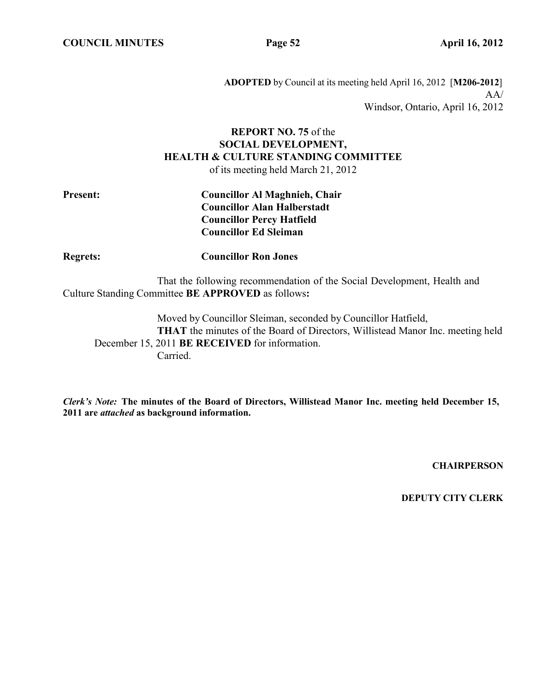**ADOPTED** by Council at its meeting held April 16, 2012 [**M206-2012**] AA/ Windsor, Ontario, April 16, 2012

# **REPORT NO. 75** of the **SOCIAL DEVELOPMENT, HEALTH & CULTURE STANDING COMMITTEE** of its meeting held March 21, 2012

| <b>Present:</b> | <b>Councillor Al Maghnieh, Chair</b> |
|-----------------|--------------------------------------|
|                 | <b>Councillor Alan Halberstadt</b>   |
|                 | <b>Councillor Percy Hatfield</b>     |
|                 | <b>Councillor Ed Sleiman</b>         |

# **Regrets: Councillor Ron Jones**

That the following recommendation of the Social Development, Health and Culture Standing Committee **BE APPROVED** as follows**:**

Moved by Councillor Sleiman, seconded by Councillor Hatfield, **THAT** the minutes of the Board of Directors, Willistead Manor Inc. meeting held December 15, 2011 **BE RECEIVED** for information. Carried.

*Clerk's Note:* **The minutes of the Board of Directors, Willistead Manor Inc. meeting held December 15, 2011 are** *attached* **as background information.**

**CHAIRPERSON**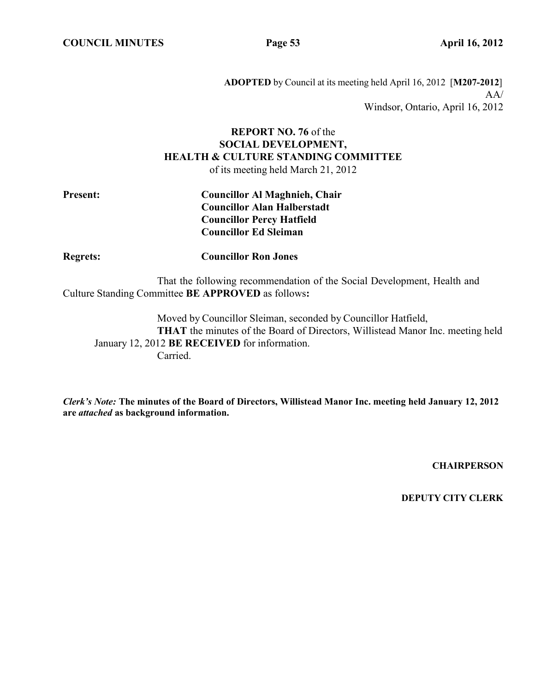**ADOPTED** by Council at its meeting held April 16, 2012 [**M207-2012**] AA/ Windsor, Ontario, April 16, 2012

# **REPORT NO. 76** of the **SOCIAL DEVELOPMENT, HEALTH & CULTURE STANDING COMMITTEE** of its meeting held March 21, 2012

| <b>Present:</b> | <b>Councillor Al Maghnieh, Chair</b> |
|-----------------|--------------------------------------|
|                 | <b>Councillor Alan Halberstadt</b>   |
|                 | <b>Councillor Percy Hatfield</b>     |
|                 | <b>Councillor Ed Sleiman</b>         |

# **Regrets: Councillor Ron Jones**

That the following recommendation of the Social Development, Health and Culture Standing Committee **BE APPROVED** as follows**:**

Moved by Councillor Sleiman, seconded by Councillor Hatfield, **THAT** the minutes of the Board of Directors, Willistead Manor Inc. meeting held January 12, 2012 **BE RECEIVED** for information. Carried.

*Clerk's Note:* **The minutes of the Board of Directors, Willistead Manor Inc. meeting held January 12, 2012 are** *attached* **as background information.**

**CHAIRPERSON**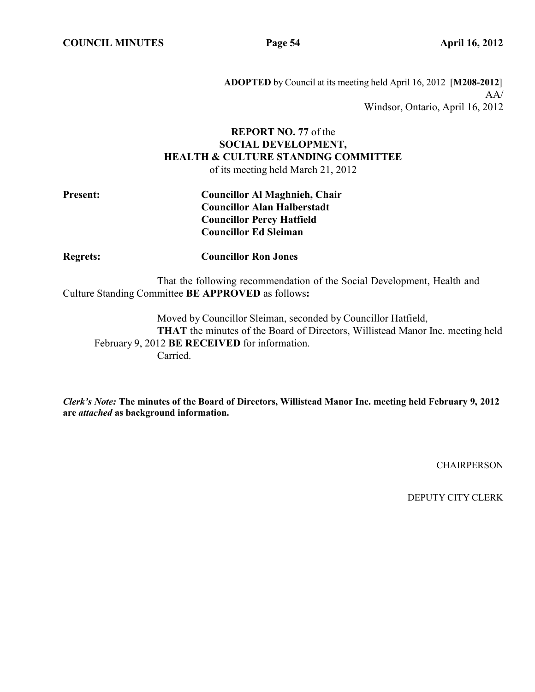**ADOPTED** by Council at its meeting held April 16, 2012 [**M208-2012**] AA/ Windsor, Ontario, April 16, 2012

# **REPORT NO. 77** of the **SOCIAL DEVELOPMENT, HEALTH & CULTURE STANDING COMMITTEE** of its meeting held March 21, 2012

| <b>Present:</b> | <b>Councillor Al Maghnieh, Chair</b> |
|-----------------|--------------------------------------|
|                 | <b>Councillor Alan Halberstadt</b>   |
|                 | <b>Councillor Percy Hatfield</b>     |
|                 | <b>Councillor Ed Sleiman</b>         |

# **Regrets: Councillor Ron Jones**

That the following recommendation of the Social Development, Health and Culture Standing Committee **BE APPROVED** as follows**:**

Moved by Councillor Sleiman, seconded by Councillor Hatfield, **THAT** the minutes of the Board of Directors, Willistead Manor Inc. meeting held February 9, 2012 **BE RECEIVED** for information. Carried.

*Clerk's Note:* **The minutes of the Board of Directors, Willistead Manor Inc. meeting held February 9, 2012 are** *attached* **as background information.**

CHAIRPERSON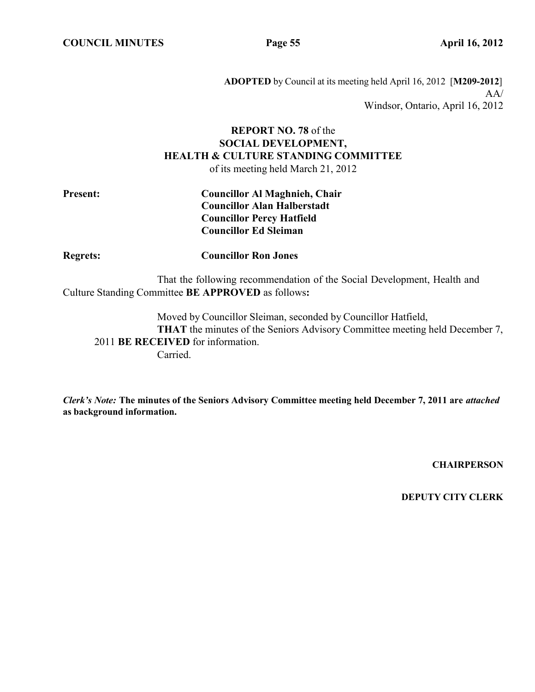**ADOPTED** by Council at its meeting held April 16, 2012 [**M209-2012**] AA/ Windsor, Ontario, April 16, 2012

# **REPORT NO. 78** of the **SOCIAL DEVELOPMENT, HEALTH & CULTURE STANDING COMMITTEE** of its meeting held March 21, 2012

| <b>Present:</b> | <b>Councillor Al Maghnieh, Chair</b> |
|-----------------|--------------------------------------|
|                 | <b>Councillor Alan Halberstadt</b>   |
|                 | <b>Councillor Percy Hatfield</b>     |
|                 | <b>Councillor Ed Sleiman</b>         |

# **Regrets: Councillor Ron Jones**

That the following recommendation of the Social Development, Health and Culture Standing Committee **BE APPROVED** as follows**:**

Moved by Councillor Sleiman, seconded by Councillor Hatfield, **THAT** the minutes of the Seniors Advisory Committee meeting held December 7, 2011 **BE RECEIVED** for information. Carried.

*Clerk's Note:* **The minutes of the Seniors Advisory Committee meeting held December 7, 2011 are** *attached* **as background information.**

**CHAIRPERSON**